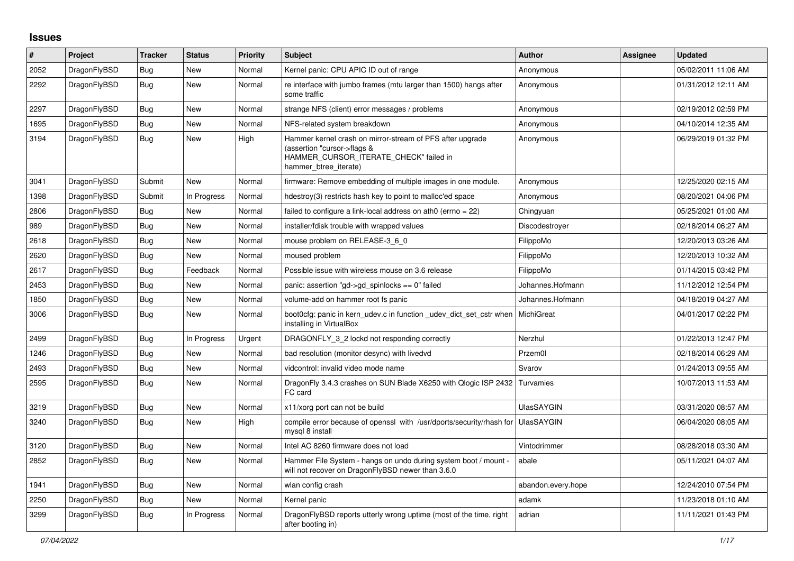## **Issues**

| #    | Project      | <b>Tracker</b> | <b>Status</b> | <b>Priority</b> | <b>Subject</b>                                                                                                                                              | <b>Author</b>      | Assignee | <b>Updated</b>      |
|------|--------------|----------------|---------------|-----------------|-------------------------------------------------------------------------------------------------------------------------------------------------------------|--------------------|----------|---------------------|
| 2052 | DragonFlyBSD | <b>Bug</b>     | <b>New</b>    | Normal          | Kernel panic: CPU APIC ID out of range                                                                                                                      | Anonymous          |          | 05/02/2011 11:06 AM |
| 2292 | DragonFlyBSD | <b>Bug</b>     | New           | Normal          | re interface with jumbo frames (mtu larger than 1500) hangs after<br>some traffic                                                                           | Anonymous          |          | 01/31/2012 12:11 AM |
| 2297 | DragonFlyBSD | Bug            | New           | Normal          | strange NFS (client) error messages / problems                                                                                                              | Anonymous          |          | 02/19/2012 02:59 PM |
| 1695 | DragonFlyBSD | Bug            | New           | Normal          | NFS-related system breakdown                                                                                                                                | Anonymous          |          | 04/10/2014 12:35 AM |
| 3194 | DragonFlyBSD | <b>Bug</b>     | <b>New</b>    | High            | Hammer kernel crash on mirror-stream of PFS after upgrade<br>(assertion "cursor->flags &<br>HAMMER_CURSOR_ITERATE_CHECK" failed in<br>hammer btree iterate) | Anonymous          |          | 06/29/2019 01:32 PM |
| 3041 | DragonFlyBSD | Submit         | New           | Normal          | firmware: Remove embedding of multiple images in one module.                                                                                                | Anonymous          |          | 12/25/2020 02:15 AM |
| 1398 | DragonFlyBSD | Submit         | In Progress   | Normal          | hdestroy(3) restricts hash key to point to malloc'ed space                                                                                                  | Anonymous          |          | 08/20/2021 04:06 PM |
| 2806 | DragonFlyBSD | <b>Bug</b>     | New           | Normal          | failed to configure a link-local address on ath0 (errno = 22)                                                                                               | Chingyuan          |          | 05/25/2021 01:00 AM |
| 989  | DragonFlyBSD | Bug            | New           | Normal          | installer/fdisk trouble with wrapped values                                                                                                                 | Discodestroyer     |          | 02/18/2014 06:27 AM |
| 2618 | DragonFlyBSD | <b>Bug</b>     | New           | Normal          | mouse problem on RELEASE-3 6 0                                                                                                                              | FilippoMo          |          | 12/20/2013 03:26 AM |
| 2620 | DragonFlyBSD | <b>Bug</b>     | New           | Normal          | moused problem                                                                                                                                              | FilippoMo          |          | 12/20/2013 10:32 AM |
| 2617 | DragonFlyBSD | Bug            | Feedback      | Normal          | Possible issue with wireless mouse on 3.6 release                                                                                                           | FilippoMo          |          | 01/14/2015 03:42 PM |
| 2453 | DragonFlyBSD | <b>Bug</b>     | New           | Normal          | panic: assertion "gd->gd spinlocks == $0$ " failed                                                                                                          | Johannes.Hofmann   |          | 11/12/2012 12:54 PM |
| 1850 | DragonFlyBSD | <b>Bug</b>     | <b>New</b>    | Normal          | volume-add on hammer root fs panic                                                                                                                          | Johannes.Hofmann   |          | 04/18/2019 04:27 AM |
| 3006 | DragonFlyBSD | <b>Bug</b>     | <b>New</b>    | Normal          | boot0cfg: panic in kern_udev.c in function _udev_dict_set_cstr when<br>installing in VirtualBox                                                             | MichiGreat         |          | 04/01/2017 02:22 PM |
| 2499 | DragonFlyBSD | <b>Bug</b>     | In Progress   | Urgent          | DRAGONFLY 3 2 lockd not responding correctly                                                                                                                | Nerzhul            |          | 01/22/2013 12:47 PM |
| 1246 | DragonFlyBSD | Bug            | New           | Normal          | bad resolution (monitor desync) with livedvd                                                                                                                | Przem0l            |          | 02/18/2014 06:29 AM |
| 2493 | DragonFlyBSD | Bug            | New           | Normal          | vidcontrol: invalid video mode name                                                                                                                         | Svarov             |          | 01/24/2013 09:55 AM |
| 2595 | DragonFlyBSD | <b>Bug</b>     | New           | Normal          | DragonFly 3.4.3 crashes on SUN Blade X6250 with Qlogic ISP 2432<br>FC card                                                                                  | Turvamies          |          | 10/07/2013 11:53 AM |
| 3219 | DragonFlyBSD | Bug            | New           | Normal          | x11/xorg port can not be build                                                                                                                              | <b>UlasSAYGIN</b>  |          | 03/31/2020 08:57 AM |
| 3240 | DragonFlyBSD | Bug            | New           | High            | compile error because of openssl with /usr/dports/security/rhash for<br>mysql 8 install                                                                     | <b>UlasSAYGIN</b>  |          | 06/04/2020 08:05 AM |
| 3120 | DragonFlyBSD | <b>Bug</b>     | <b>New</b>    | Normal          | Intel AC 8260 firmware does not load                                                                                                                        | Vintodrimmer       |          | 08/28/2018 03:30 AM |
| 2852 | DragonFlyBSD | <b>Bug</b>     | <b>New</b>    | Normal          | Hammer File System - hangs on undo during system boot / mount -<br>will not recover on DragonFlyBSD newer than 3.6.0                                        | abale              |          | 05/11/2021 04:07 AM |
| 1941 | DragonFlyBSD | Bug            | <b>New</b>    | Normal          | wlan config crash                                                                                                                                           | abandon.every.hope |          | 12/24/2010 07:54 PM |
| 2250 | DragonFlyBSD | <b>Bug</b>     | New           | Normal          | Kernel panic                                                                                                                                                | adamk              |          | 11/23/2018 01:10 AM |
| 3299 | DragonFlyBSD | Bug            | In Progress   | Normal          | DragonFlyBSD reports utterly wrong uptime (most of the time, right<br>after booting in)                                                                     | adrian             |          | 11/11/2021 01:43 PM |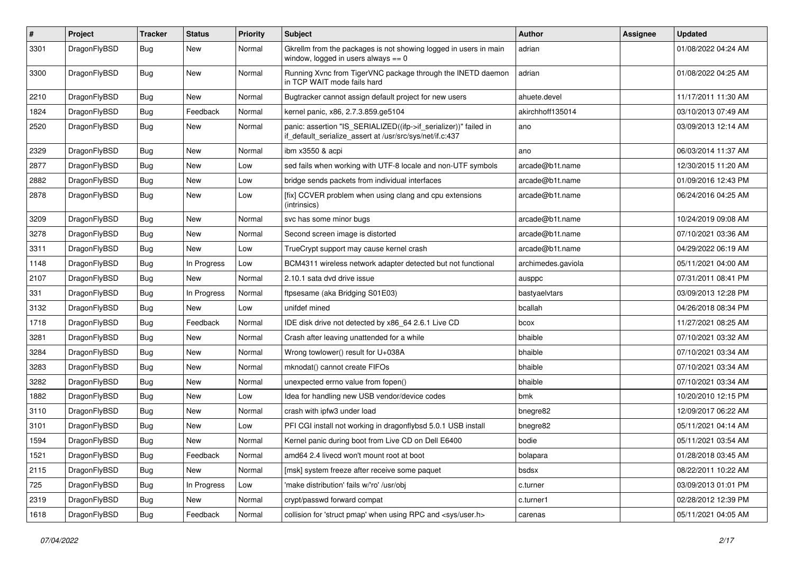| $\sharp$ | Project      | <b>Tracker</b> | <b>Status</b> | <b>Priority</b> | Subject                                                                                                                      | <b>Author</b>      | <b>Assignee</b> | <b>Updated</b>      |
|----------|--------------|----------------|---------------|-----------------|------------------------------------------------------------------------------------------------------------------------------|--------------------|-----------------|---------------------|
| 3301     | DragonFlyBSD | Bug            | New           | Normal          | Gkrellm from the packages is not showing logged in users in main<br>window, logged in users always $== 0$                    | adrian             |                 | 01/08/2022 04:24 AM |
| 3300     | DragonFlyBSD | Bug            | New           | Normal          | Running Xvnc from TigerVNC package through the INETD daemon<br>in TCP WAIT mode fails hard                                   | adrian             |                 | 01/08/2022 04:25 AM |
| 2210     | DragonFlyBSD | Bug            | New           | Normal          | Bugtracker cannot assign default project for new users                                                                       | ahuete.devel       |                 | 11/17/2011 11:30 AM |
| 1824     | DragonFlyBSD | Bug            | Feedback      | Normal          | kernel panic, x86, 2.7.3.859.ge5104                                                                                          | akirchhoff135014   |                 | 03/10/2013 07:49 AM |
| 2520     | DragonFlyBSD | Bug            | New           | Normal          | panic: assertion "IS_SERIALIZED((ifp->if_serializer))" failed in<br>if_default_serialize_assert at /usr/src/sys/net/if.c:437 | ano                |                 | 03/09/2013 12:14 AM |
| 2329     | DragonFlyBSD | Bug            | <b>New</b>    | Normal          | ibm x3550 & acpi                                                                                                             | ano                |                 | 06/03/2014 11:37 AM |
| 2877     | DragonFlyBSD | Bug            | New           | Low             | sed fails when working with UTF-8 locale and non-UTF symbols                                                                 | arcade@b1t.name    |                 | 12/30/2015 11:20 AM |
| 2882     | DragonFlyBSD | <b>Bug</b>     | New           | Low             | bridge sends packets from individual interfaces                                                                              | arcade@b1t.name    |                 | 01/09/2016 12:43 PM |
| 2878     | DragonFlyBSD | <b>Bug</b>     | New           | Low             | [fix] CCVER problem when using clang and cpu extensions<br>(intrinsics)                                                      | arcade@b1t.name    |                 | 06/24/2016 04:25 AM |
| 3209     | DragonFlyBSD | Bug            | New           | Normal          | svc has some minor bugs                                                                                                      | arcade@b1t.name    |                 | 10/24/2019 09:08 AM |
| 3278     | DragonFlyBSD | <b>Bug</b>     | New           | Normal          | Second screen image is distorted                                                                                             | arcade@b1t.name    |                 | 07/10/2021 03:36 AM |
| 3311     | DragonFlyBSD | <b>Bug</b>     | New           | Low             | TrueCrypt support may cause kernel crash                                                                                     | arcade@b1t.name    |                 | 04/29/2022 06:19 AM |
| 1148     | DragonFlyBSD | <b>Bug</b>     | In Progress   | Low             | BCM4311 wireless network adapter detected but not functional                                                                 | archimedes.gaviola |                 | 05/11/2021 04:00 AM |
| 2107     | DragonFlyBSD | <b>Bug</b>     | <b>New</b>    | Normal          | 2.10.1 sata dvd drive issue                                                                                                  | ausppc             |                 | 07/31/2011 08:41 PM |
| 331      | DragonFlyBSD | <b>Bug</b>     | In Progress   | Normal          | ftpsesame (aka Bridging S01E03)                                                                                              | bastyaelvtars      |                 | 03/09/2013 12:28 PM |
| 3132     | DragonFlyBSD | <b>Bug</b>     | New           | Low             | unifdef mined                                                                                                                | bcallah            |                 | 04/26/2018 08:34 PM |
| 1718     | DragonFlyBSD | <b>Bug</b>     | Feedback      | Normal          | IDE disk drive not detected by x86 64 2.6.1 Live CD                                                                          | bcox               |                 | 11/27/2021 08:25 AM |
| 3281     | DragonFlyBSD | <b>Bug</b>     | <b>New</b>    | Normal          | Crash after leaving unattended for a while                                                                                   | bhaible            |                 | 07/10/2021 03:32 AM |
| 3284     | DragonFlyBSD | Bug            | New           | Normal          | Wrong towlower() result for U+038A                                                                                           | bhaible            |                 | 07/10/2021 03:34 AM |
| 3283     | DragonFlyBSD | <b>Bug</b>     | <b>New</b>    | Normal          | mknodat() cannot create FIFOs                                                                                                | bhaible            |                 | 07/10/2021 03:34 AM |
| 3282     | DragonFlyBSD | <b>Bug</b>     | New           | Normal          | unexpected errno value from fopen()                                                                                          | bhaible            |                 | 07/10/2021 03:34 AM |
| 1882     | DragonFlyBSD | <b>Bug</b>     | New           | Low             | Idea for handling new USB vendor/device codes                                                                                | bmk                |                 | 10/20/2010 12:15 PM |
| 3110     | DragonFlyBSD | <b>Bug</b>     | New           | Normal          | crash with ipfw3 under load                                                                                                  | bnegre82           |                 | 12/09/2017 06:22 AM |
| 3101     | DragonFlyBSD | <b>Bug</b>     | New           | Low             | PFI CGI install not working in dragonflybsd 5.0.1 USB install                                                                | bnegre82           |                 | 05/11/2021 04:14 AM |
| 1594     | DragonFlyBSD | <b>Bug</b>     | New           | Normal          | Kernel panic during boot from Live CD on Dell E6400                                                                          | bodie              |                 | 05/11/2021 03:54 AM |
| 1521     | DragonFlyBSD | <b>Bug</b>     | Feedback      | Normal          | amd64 2.4 livecd won't mount root at boot                                                                                    | bolapara           |                 | 01/28/2018 03:45 AM |
| 2115     | DragonFlyBSD | <b>Bug</b>     | New           | Normal          | [msk] system freeze after receive some paquet                                                                                | bsdsx              |                 | 08/22/2011 10:22 AM |
| 725      | DragonFlyBSD | <b>Bug</b>     | In Progress   | Low             | 'make distribution' fails w/'ro' /usr/obj                                                                                    | c.turner           |                 | 03/09/2013 01:01 PM |
| 2319     | DragonFlyBSD | <b>Bug</b>     | New           | Normal          | crypt/passwd forward compat                                                                                                  | c.turner1          |                 | 02/28/2012 12:39 PM |
| 1618     | DragonFlyBSD | <b>Bug</b>     | Feedback      | Normal          | collision for 'struct pmap' when using RPC and <sys user.h=""></sys>                                                         | carenas            |                 | 05/11/2021 04:05 AM |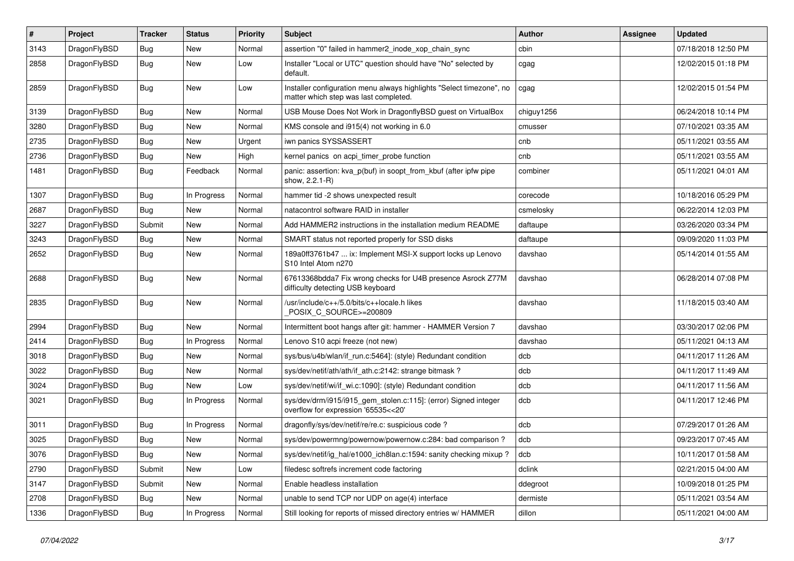| #    | Project      | <b>Tracker</b> | <b>Status</b> | <b>Priority</b> | Subject                                                                                                       | <b>Author</b> | Assignee | <b>Updated</b>      |
|------|--------------|----------------|---------------|-----------------|---------------------------------------------------------------------------------------------------------------|---------------|----------|---------------------|
| 3143 | DragonFlyBSD | <b>Bug</b>     | New           | Normal          | assertion "0" failed in hammer2_inode_xop_chain_sync                                                          | cbin          |          | 07/18/2018 12:50 PM |
| 2858 | DragonFlyBSD | Bug            | New           | Low             | Installer "Local or UTC" question should have "No" selected by<br>default.                                    | cgag          |          | 12/02/2015 01:18 PM |
| 2859 | DragonFlyBSD | Bug            | New           | Low             | Installer configuration menu always highlights "Select timezone", no<br>matter which step was last completed. | cgag          |          | 12/02/2015 01:54 PM |
| 3139 | DragonFlyBSD | Bug            | New           | Normal          | USB Mouse Does Not Work in DragonflyBSD guest on VirtualBox                                                   | chiguy1256    |          | 06/24/2018 10:14 PM |
| 3280 | DragonFlyBSD | <b>Bug</b>     | New           | Normal          | KMS console and i915(4) not working in 6.0                                                                    | cmusser       |          | 07/10/2021 03:35 AM |
| 2735 | DragonFlyBSD | <b>Bug</b>     | New           | Urgent          | iwn panics SYSSASSERT                                                                                         | cnb           |          | 05/11/2021 03:55 AM |
| 2736 | DragonFlyBSD | <b>Bug</b>     | <b>New</b>    | High            | kernel panics on acpi timer probe function                                                                    | cnb           |          | 05/11/2021 03:55 AM |
| 1481 | DragonFlyBSD | Bug            | Feedback      | Normal          | panic: assertion: kva_p(buf) in soopt_from_kbuf (after ipfw pipe<br>show, 2.2.1-R)                            | combiner      |          | 05/11/2021 04:01 AM |
| 1307 | DragonFlyBSD | Bug            | In Progress   | Normal          | hammer tid -2 shows unexpected result                                                                         | corecode      |          | 10/18/2016 05:29 PM |
| 2687 | DragonFlyBSD | Bug            | <b>New</b>    | Normal          | natacontrol software RAID in installer                                                                        | csmelosky     |          | 06/22/2014 12:03 PM |
| 3227 | DragonFlyBSD | Submit         | New           | Normal          | Add HAMMER2 instructions in the installation medium README                                                    | daftaupe      |          | 03/26/2020 03:34 PM |
| 3243 | DragonFlyBSD | Bug            | New           | Normal          | SMART status not reported properly for SSD disks                                                              | daftaupe      |          | 09/09/2020 11:03 PM |
| 2652 | DragonFlyBSD | Bug            | <b>New</b>    | Normal          | 189a0ff3761b47  ix: Implement MSI-X support locks up Lenovo<br>S10 Intel Atom n270                            | davshao       |          | 05/14/2014 01:55 AM |
| 2688 | DragonFlyBSD | Bug            | New           | Normal          | 67613368bdda7 Fix wrong checks for U4B presence Asrock Z77M<br>difficulty detecting USB keyboard              | davshao       |          | 06/28/2014 07:08 PM |
| 2835 | DragonFlyBSD | Bug            | <b>New</b>    | Normal          | /usr/include/c++/5.0/bits/c++locale.h likes<br>POSIX_C_SOURCE>=200809                                         | davshao       |          | 11/18/2015 03:40 AM |
| 2994 | DragonFlyBSD | Bug            | <b>New</b>    | Normal          | Intermittent boot hangs after git: hammer - HAMMER Version 7                                                  | davshao       |          | 03/30/2017 02:06 PM |
| 2414 | DragonFlyBSD | <b>Bug</b>     | In Progress   | Normal          | Lenovo S10 acpi freeze (not new)                                                                              | davshao       |          | 05/11/2021 04:13 AM |
| 3018 | DragonFlyBSD | <b>Bug</b>     | <b>New</b>    | Normal          | sys/bus/u4b/wlan/if_run.c:5464]: (style) Redundant condition                                                  | dcb           |          | 04/11/2017 11:26 AM |
| 3022 | DragonFlyBSD | <b>Bug</b>     | New           | Normal          | sys/dev/netif/ath/ath/if_ath.c:2142: strange bitmask?                                                         | dcb           |          | 04/11/2017 11:49 AM |
| 3024 | DragonFlyBSD | Bug            | New           | Low             | sys/dev/netif/wi/if_wi.c:1090]: (style) Redundant condition                                                   | dcb           |          | 04/11/2017 11:56 AM |
| 3021 | DragonFlyBSD | <b>Bug</b>     | In Progress   | Normal          | sys/dev/drm/i915/i915_gem_stolen.c:115]: (error) Signed integer<br>overflow for expression '65535<<20'        | dcb           |          | 04/11/2017 12:46 PM |
| 3011 | DragonFlyBSD | Bug            | In Progress   | Normal          | dragonfly/sys/dev/netif/re/re.c: suspicious code?                                                             | dcb           |          | 07/29/2017 01:26 AM |
| 3025 | DragonFlyBSD | <b>Bug</b>     | New           | Normal          | sys/dev/powermng/powernow/powernow.c:284: bad comparison?                                                     | dcb           |          | 09/23/2017 07:45 AM |
| 3076 | DragonFlyBSD | <b>Bug</b>     | New           | Normal          | sys/dev/netif/ig_hal/e1000_ich8lan.c:1594: sanity checking mixup?                                             | dcb           |          | 10/11/2017 01:58 AM |
| 2790 | DragonFlyBSD | Submit         | New           | Low             | filedesc softrefs increment code factoring                                                                    | dclink        |          | 02/21/2015 04:00 AM |
| 3147 | DragonFlyBSD | Submit         | New           | Normal          | Enable headless installation                                                                                  | ddegroot      |          | 10/09/2018 01:25 PM |
| 2708 | DragonFlyBSD | <b>Bug</b>     | New           | Normal          | unable to send TCP nor UDP on age(4) interface                                                                | dermiste      |          | 05/11/2021 03:54 AM |
| 1336 | DragonFlyBSD | <b>Bug</b>     | In Progress   | Normal          | Still looking for reports of missed directory entries w/ HAMMER                                               | dillon        |          | 05/11/2021 04:00 AM |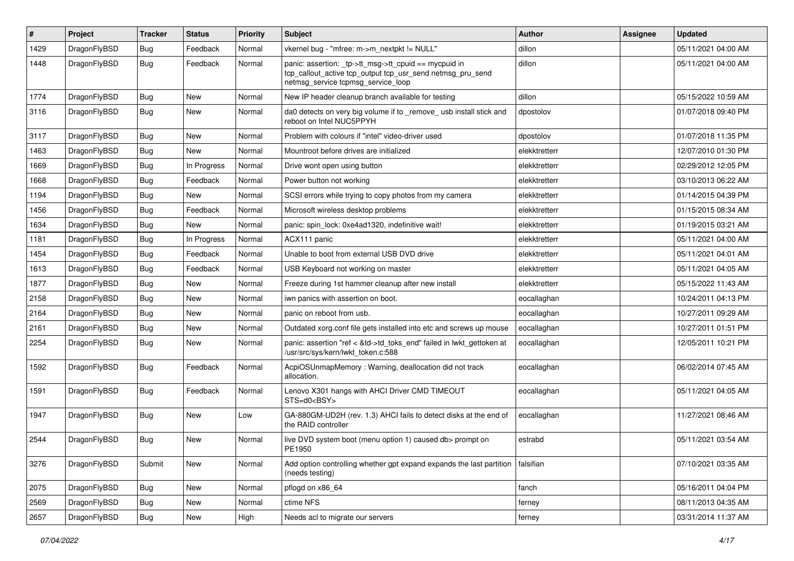| $\sharp$ | Project      | <b>Tracker</b> | <b>Status</b> | <b>Priority</b> | Subject                                                                                                                                                   | Author        | Assignee | <b>Updated</b>      |
|----------|--------------|----------------|---------------|-----------------|-----------------------------------------------------------------------------------------------------------------------------------------------------------|---------------|----------|---------------------|
| 1429     | DragonFlyBSD | <b>Bug</b>     | Feedback      | Normal          | vkernel bug - "mfree: m->m_nextpkt != NULL"                                                                                                               | dillon        |          | 05/11/2021 04:00 AM |
| 1448     | DragonFlyBSD | Bug            | Feedback      | Normal          | panic: assertion: _tp->tt_msg->tt_cpuid == mycpuid in<br>tcp_callout_active tcp_output tcp_usr_send netmsg_pru_send<br>netmsg_service tcpmsg_service_loop | dillon        |          | 05/11/2021 04:00 AM |
| 1774     | DragonFlyBSD | Bug            | <b>New</b>    | Normal          | New IP header cleanup branch available for testing                                                                                                        | dillon        |          | 05/15/2022 10:59 AM |
| 3116     | DragonFlyBSD | <b>Bug</b>     | <b>New</b>    | Normal          | da0 detects on very big volume if to _remove_ usb install stick and<br>reboot on Intel NUC5PPYH                                                           | dpostolov     |          | 01/07/2018 09:40 PM |
| 3117     | DragonFlyBSD | Bug            | <b>New</b>    | Normal          | Problem with colours if "intel" video-driver used                                                                                                         | dpostolov     |          | 01/07/2018 11:35 PM |
| 1463     | DragonFlyBSD | Bug            | New           | Normal          | Mountroot before drives are initialized                                                                                                                   | elekktretterr |          | 12/07/2010 01:30 PM |
| 1669     | DragonFlyBSD | Bug            | In Progress   | Normal          | Drive wont open using button                                                                                                                              | elekktretterr |          | 02/29/2012 12:05 PM |
| 1668     | DragonFlyBSD | <b>Bug</b>     | Feedback      | Normal          | Power button not working                                                                                                                                  | elekktretterr |          | 03/10/2013 06:22 AM |
| 1194     | DragonFlyBSD | <b>Bug</b>     | New           | Normal          | SCSI errors while trying to copy photos from my camera                                                                                                    | elekktretterr |          | 01/14/2015 04:39 PM |
| 1456     | DragonFlyBSD | Bug            | Feedback      | Normal          | Microsoft wireless desktop problems                                                                                                                       | elekktretterr |          | 01/15/2015 08:34 AM |
| 1634     | DragonFlyBSD | <b>Bug</b>     | New           | Normal          | panic: spin lock: 0xe4ad1320, indefinitive wait!                                                                                                          | elekktretterr |          | 01/19/2015 03:21 AM |
| 1181     | DragonFlyBSD | <b>Bug</b>     | In Progress   | Normal          | ACX111 panic                                                                                                                                              | elekktretterr |          | 05/11/2021 04:00 AM |
| 1454     | DragonFlyBSD | <b>Bug</b>     | Feedback      | Normal          | Unable to boot from external USB DVD drive                                                                                                                | elekktretterr |          | 05/11/2021 04:01 AM |
| 1613     | DragonFlyBSD | <b>Bug</b>     | Feedback      | Normal          | USB Keyboard not working on master                                                                                                                        | elekktretterr |          | 05/11/2021 04:05 AM |
| 1877     | DragonFlyBSD | <b>Bug</b>     | <b>New</b>    | Normal          | Freeze during 1st hammer cleanup after new install                                                                                                        | elekktretterr |          | 05/15/2022 11:43 AM |
| 2158     | DragonFlyBSD | <b>Bug</b>     | <b>New</b>    | Normal          | iwn panics with assertion on boot.                                                                                                                        | eocallaghan   |          | 10/24/2011 04:13 PM |
| 2164     | DragonFlyBSD | <b>Bug</b>     | <b>New</b>    | Normal          | panic on reboot from usb.                                                                                                                                 | eocallaghan   |          | 10/27/2011 09:29 AM |
| 2161     | DragonFlyBSD | <b>Bug</b>     | New           | Normal          | Outdated xorg.conf file gets installed into etc and screws up mouse                                                                                       | eocallaghan   |          | 10/27/2011 01:51 PM |
| 2254     | DragonFlyBSD | <b>Bug</b>     | New           | Normal          | panic: assertion "ref < &td->td_toks_end" failed in lwkt_gettoken at<br>/usr/src/sys/kern/lwkt_token.c:588                                                | eocallaghan   |          | 12/05/2011 10:21 PM |
| 1592     | DragonFlyBSD | <b>Bug</b>     | Feedback      | Normal          | AcpiOSUnmapMemory: Warning, deallocation did not track<br>allocation.                                                                                     | eocallaghan   |          | 06/02/2014 07:45 AM |
| 1591     | DragonFlyBSD | <b>Bug</b>     | Feedback      | Normal          | Lenovo X301 hangs with AHCI Driver CMD TIMEOUT<br>STS=d0 <bsy></bsy>                                                                                      | eocallaghan   |          | 05/11/2021 04:05 AM |
| 1947     | DragonFlyBSD | Bug            | <b>New</b>    | Low             | GA-880GM-UD2H (rev. 1.3) AHCI fails to detect disks at the end of<br>the RAID controller                                                                  | eocallaghan   |          | 11/27/2021 08:46 AM |
| 2544     | DragonFlyBSD | <b>Bug</b>     | <b>New</b>    | Normal          | live DVD system boot (menu option 1) caused db> prompt on<br>PE1950                                                                                       | estrabd       |          | 05/11/2021 03:54 AM |
| 3276     | DragonFlyBSD | Submit         | New           | Normal          | Add option controlling whether gpt expand expands the last partition<br>(needs testing)                                                                   | falsifian     |          | 07/10/2021 03:35 AM |
| 2075     | DragonFlyBSD | Bug            | New           | Normal          | pflogd on x86_64                                                                                                                                          | fanch         |          | 05/16/2011 04:04 PM |
| 2569     | DragonFlyBSD | Bug            | New           | Normal          | ctime NFS                                                                                                                                                 | ferney        |          | 08/11/2013 04:35 AM |
| 2657     | DragonFlyBSD | <b>Bug</b>     | New           | High            | Needs acl to migrate our servers                                                                                                                          | ferney        |          | 03/31/2014 11:37 AM |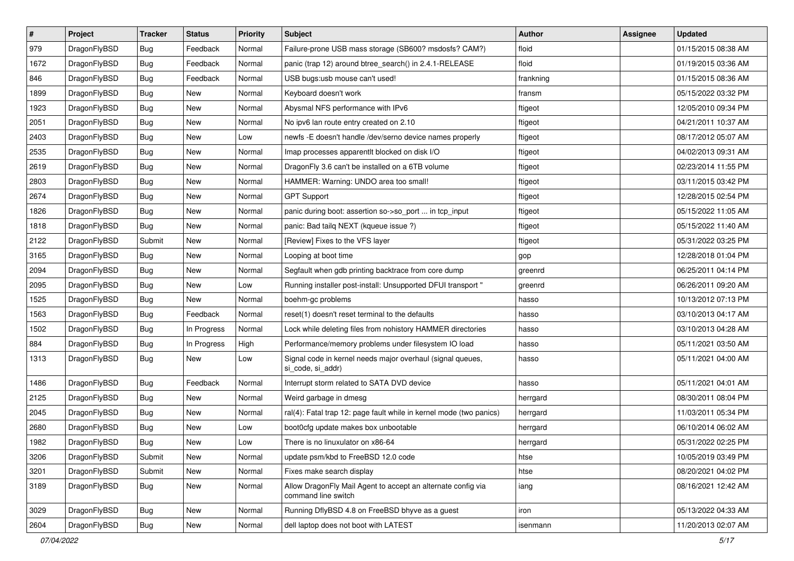| $\vert$ # | Project      | <b>Tracker</b> | <b>Status</b> | <b>Priority</b> | Subject                                                                             | <b>Author</b> | Assignee | <b>Updated</b>      |
|-----------|--------------|----------------|---------------|-----------------|-------------------------------------------------------------------------------------|---------------|----------|---------------------|
| 979       | DragonFlyBSD | <b>Bug</b>     | Feedback      | Normal          | Failure-prone USB mass storage (SB600? msdosfs? CAM?)                               | floid         |          | 01/15/2015 08:38 AM |
| 1672      | DragonFlyBSD | <b>Bug</b>     | Feedback      | Normal          | panic (trap 12) around btree_search() in 2.4.1-RELEASE                              | floid         |          | 01/19/2015 03:36 AM |
| 846       | DragonFlyBSD | <b>Bug</b>     | Feedback      | Normal          | USB bugs:usb mouse can't used!                                                      | frankning     |          | 01/15/2015 08:36 AM |
| 1899      | DragonFlyBSD | <b>Bug</b>     | New           | Normal          | Keyboard doesn't work                                                               | fransm        |          | 05/15/2022 03:32 PM |
| 1923      | DragonFlyBSD | <b>Bug</b>     | New           | Normal          | Abysmal NFS performance with IPv6                                                   | ftigeot       |          | 12/05/2010 09:34 PM |
| 2051      | DragonFlyBSD | <b>Bug</b>     | New           | Normal          | No ipv6 lan route entry created on 2.10                                             | ftigeot       |          | 04/21/2011 10:37 AM |
| 2403      | DragonFlyBSD | <b>Bug</b>     | New           | Low             | newfs - E doesn't handle /dev/serno device names properly                           | ftigeot       |          | 08/17/2012 05:07 AM |
| 2535      | DragonFlyBSD | <b>Bug</b>     | New           | Normal          | Imap processes apparentit blocked on disk I/O                                       | ftigeot       |          | 04/02/2013 09:31 AM |
| 2619      | DragonFlyBSD | <b>Bug</b>     | <b>New</b>    | Normal          | DragonFly 3.6 can't be installed on a 6TB volume                                    | ftigeot       |          | 02/23/2014 11:55 PM |
| 2803      | DragonFlyBSD | Bug            | New           | Normal          | HAMMER: Warning: UNDO area too small!                                               | ftigeot       |          | 03/11/2015 03:42 PM |
| 2674      | DragonFlyBSD | <b>Bug</b>     | <b>New</b>    | Normal          | <b>GPT Support</b>                                                                  | ftigeot       |          | 12/28/2015 02:54 PM |
| 1826      | DragonFlyBSD | <b>Bug</b>     | New           | Normal          | panic during boot: assertion so->so_port  in tcp_input                              | ftigeot       |          | 05/15/2022 11:05 AM |
| 1818      | DragonFlyBSD | Bug            | <b>New</b>    | Normal          | panic: Bad tailq NEXT (kqueue issue ?)                                              | ftigeot       |          | 05/15/2022 11:40 AM |
| 2122      | DragonFlyBSD | Submit         | <b>New</b>    | Normal          | [Review] Fixes to the VFS layer                                                     | ftigeot       |          | 05/31/2022 03:25 PM |
| 3165      | DragonFlyBSD | Bug            | New           | Normal          | Looping at boot time                                                                | gop           |          | 12/28/2018 01:04 PM |
| 2094      | DragonFlyBSD | <b>Bug</b>     | New           | Normal          | Segfault when gdb printing backtrace from core dump                                 | greenrd       |          | 06/25/2011 04:14 PM |
| 2095      | DragonFlyBSD | <b>Bug</b>     | New           | Low             | Running installer post-install: Unsupported DFUI transport "                        | greenrd       |          | 06/26/2011 09:20 AM |
| 1525      | DragonFlyBSD | Bug            | <b>New</b>    | Normal          | boehm-gc problems                                                                   | hasso         |          | 10/13/2012 07:13 PM |
| 1563      | DragonFlyBSD | <b>Bug</b>     | Feedback      | Normal          | reset(1) doesn't reset terminal to the defaults                                     | hasso         |          | 03/10/2013 04:17 AM |
| 1502      | DragonFlyBSD | <b>Bug</b>     | In Progress   | Normal          | Lock while deleting files from nohistory HAMMER directories                         | hasso         |          | 03/10/2013 04:28 AM |
| 884       | DragonFlyBSD | <b>Bug</b>     | In Progress   | High            | Performance/memory problems under filesystem IO load                                | hasso         |          | 05/11/2021 03:50 AM |
| 1313      | DragonFlyBSD | <b>Bug</b>     | New           | Low             | Signal code in kernel needs major overhaul (signal queues,<br>si_code, si_addr)     | hasso         |          | 05/11/2021 04:00 AM |
| 1486      | DragonFlyBSD | <b>Bug</b>     | Feedback      | Normal          | Interrupt storm related to SATA DVD device                                          | hasso         |          | 05/11/2021 04:01 AM |
| 2125      | DragonFlyBSD | <b>Bug</b>     | New           | Normal          | Weird garbage in dmesg                                                              | herrgard      |          | 08/30/2011 08:04 PM |
| 2045      | DragonFlyBSD | Bug            | <b>New</b>    | Normal          | ral(4): Fatal trap 12: page fault while in kernel mode (two panics)                 | herrgard      |          | 11/03/2011 05:34 PM |
| 2680      | DragonFlyBSD | <b>Bug</b>     | New           | Low             | boot0cfg update makes box unbootable                                                | herrgard      |          | 06/10/2014 06:02 AM |
| 1982      | DragonFlyBSD | Bug            | New           | Low             | There is no linuxulator on x86-64                                                   | herrgard      |          | 05/31/2022 02:25 PM |
| 3206      | DragonFlyBSD | Submit         | <b>New</b>    | Normal          | update psm/kbd to FreeBSD 12.0 code                                                 | htse          |          | 10/05/2019 03:49 PM |
| 3201      | DragonFlyBSD | Submit         | <b>New</b>    | Normal          | Fixes make search display                                                           | htse          |          | 08/20/2021 04:02 PM |
| 3189      | DragonFlyBSD | Bug            | New           | Normal          | Allow DragonFly Mail Agent to accept an alternate config via<br>command line switch | iang          |          | 08/16/2021 12:42 AM |
| 3029      | DragonFlyBSD | <b>Bug</b>     | New           | Normal          | Running DflyBSD 4.8 on FreeBSD bhyve as a guest                                     | iron          |          | 05/13/2022 04:33 AM |
| 2604      | DragonFlyBSD | Bug            | New           | Normal          | dell laptop does not boot with LATEST                                               | isenmann      |          | 11/20/2013 02:07 AM |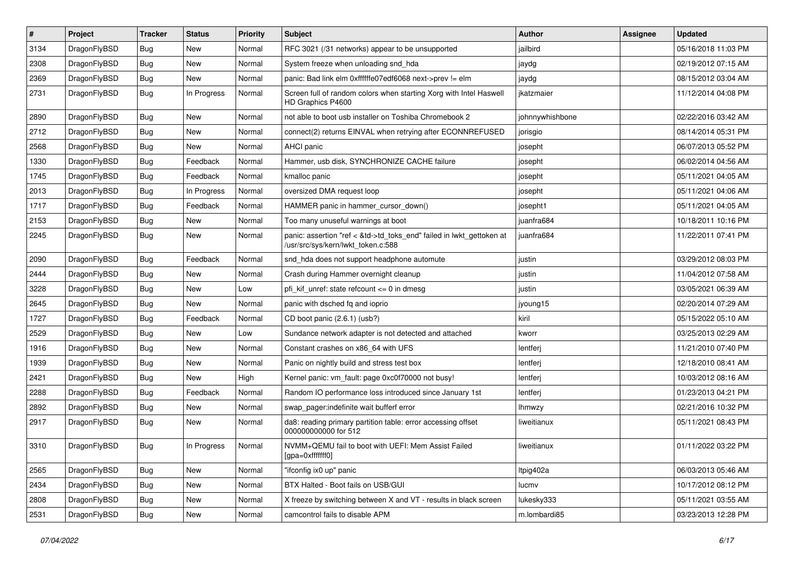| #    | Project      | <b>Tracker</b> | <b>Status</b> | <b>Priority</b> | Subject                                                                                                    | Author          | <b>Assignee</b> | <b>Updated</b>      |
|------|--------------|----------------|---------------|-----------------|------------------------------------------------------------------------------------------------------------|-----------------|-----------------|---------------------|
| 3134 | DragonFlyBSD | Bug            | <b>New</b>    | Normal          | RFC 3021 (/31 networks) appear to be unsupported                                                           | jailbird        |                 | 05/16/2018 11:03 PM |
| 2308 | DragonFlyBSD | Bug            | <b>New</b>    | Normal          | System freeze when unloading snd_hda                                                                       | jaydg           |                 | 02/19/2012 07:15 AM |
| 2369 | DragonFlyBSD | <b>Bug</b>     | New           | Normal          | panic: Bad link elm 0xffffffe07edf6068 next->prev != elm                                                   | jaydg           |                 | 08/15/2012 03:04 AM |
| 2731 | DragonFlyBSD | Bug            | In Progress   | Normal          | Screen full of random colors when starting Xorg with Intel Haswell<br>HD Graphics P4600                    | jkatzmaier      |                 | 11/12/2014 04:08 PM |
| 2890 | DragonFlyBSD | <b>Bug</b>     | New           | Normal          | not able to boot usb installer on Toshiba Chromebook 2                                                     | johnnywhishbone |                 | 02/22/2016 03:42 AM |
| 2712 | DragonFlyBSD | <b>Bug</b>     | <b>New</b>    | Normal          | connect(2) returns EINVAL when retrying after ECONNREFUSED                                                 | jorisgio        |                 | 08/14/2014 05:31 PM |
| 2568 | DragonFlyBSD | <b>Bug</b>     | New           | Normal          | <b>AHCI</b> panic                                                                                          | josepht         |                 | 06/07/2013 05:52 PM |
| 1330 | DragonFlyBSD | Bug            | Feedback      | Normal          | Hammer, usb disk, SYNCHRONIZE CACHE failure                                                                | josepht         |                 | 06/02/2014 04:56 AM |
| 1745 | DragonFlyBSD | Bug            | Feedback      | Normal          | kmalloc panic                                                                                              | josepht         |                 | 05/11/2021 04:05 AM |
| 2013 | DragonFlyBSD | <b>Bug</b>     | In Progress   | Normal          | oversized DMA request loop                                                                                 | josepht         |                 | 05/11/2021 04:06 AM |
| 1717 | DragonFlyBSD | Bug            | Feedback      | Normal          | HAMMER panic in hammer cursor down()                                                                       | josepht1        |                 | 05/11/2021 04:05 AM |
| 2153 | DragonFlyBSD | <b>Bug</b>     | New           | Normal          | Too many unuseful warnings at boot                                                                         | juanfra684      |                 | 10/18/2011 10:16 PM |
| 2245 | DragonFlyBSD | Bug            | New           | Normal          | panic: assertion "ref < &td->td_toks_end" failed in lwkt_gettoken at<br>/usr/src/sys/kern/lwkt_token.c:588 | juanfra684      |                 | 11/22/2011 07:41 PM |
| 2090 | DragonFlyBSD | Bug            | Feedback      | Normal          | snd_hda does not support headphone automute                                                                | justin          |                 | 03/29/2012 08:03 PM |
| 2444 | DragonFlyBSD | Bug            | New           | Normal          | Crash during Hammer overnight cleanup                                                                      | justin          |                 | 11/04/2012 07:58 AM |
| 3228 | DragonFlyBSD | Bug            | <b>New</b>    | Low             | pfi kif unref: state refcount $\leq$ 0 in dmesg                                                            | justin          |                 | 03/05/2021 06:39 AM |
| 2645 | DragonFlyBSD | <b>Bug</b>     | New           | Normal          | panic with dsched fq and ioprio                                                                            | jyoung15        |                 | 02/20/2014 07:29 AM |
| 1727 | DragonFlyBSD | Bug            | Feedback      | Normal          | CD boot panic (2.6.1) (usb?)                                                                               | kiril           |                 | 05/15/2022 05:10 AM |
| 2529 | DragonFlyBSD | <b>Bug</b>     | New           | Low             | Sundance network adapter is not detected and attached                                                      | kworr           |                 | 03/25/2013 02:29 AM |
| 1916 | DragonFlyBSD | Bug            | <b>New</b>    | Normal          | Constant crashes on x86 64 with UFS                                                                        | lentferj        |                 | 11/21/2010 07:40 PM |
| 1939 | DragonFlyBSD | <b>Bug</b>     | <b>New</b>    | Normal          | Panic on nightly build and stress test box                                                                 | lentferj        |                 | 12/18/2010 08:41 AM |
| 2421 | DragonFlyBSD | <b>Bug</b>     | New           | High            | Kernel panic: vm fault: page 0xc0f70000 not busy!                                                          | lentferj        |                 | 10/03/2012 08:16 AM |
| 2288 | DragonFlyBSD | Bug            | Feedback      | Normal          | Random IO performance loss introduced since January 1st                                                    | lentferj        |                 | 01/23/2013 04:21 PM |
| 2892 | DragonFlyBSD | Bug            | New           | Normal          | swap_pager:indefinite wait bufferf error                                                                   | <b>Ihmwzy</b>   |                 | 02/21/2016 10:32 PM |
| 2917 | DragonFlyBSD | Bug            | New           | Normal          | da8: reading primary partition table: error accessing offset<br>000000000000 for 512                       | liweitianux     |                 | 05/11/2021 08:43 PM |
| 3310 | DragonFlyBSD | Bug            | In Progress   | Normal          | NVMM+QEMU fail to boot with UEFI: Mem Assist Failed<br>[gpa=0xfffffff0]                                    | liweitianux     |                 | 01/11/2022 03:22 PM |
| 2565 | DragonFlyBSD | <b>Bug</b>     | New           | Normal          | "ifconfig ix0 up" panic                                                                                    | Itpig402a       |                 | 06/03/2013 05:46 AM |
| 2434 | DragonFlyBSD | <b>Bug</b>     | New           | Normal          | BTX Halted - Boot fails on USB/GUI                                                                         | lucmv           |                 | 10/17/2012 08:12 PM |
| 2808 | DragonFlyBSD | <b>Bug</b>     | New           | Normal          | X freeze by switching between X and VT - results in black screen                                           | lukesky333      |                 | 05/11/2021 03:55 AM |
| 2531 | DragonFlyBSD | <b>Bug</b>     | New           | Normal          | camcontrol fails to disable APM                                                                            | m.lombardi85    |                 | 03/23/2013 12:28 PM |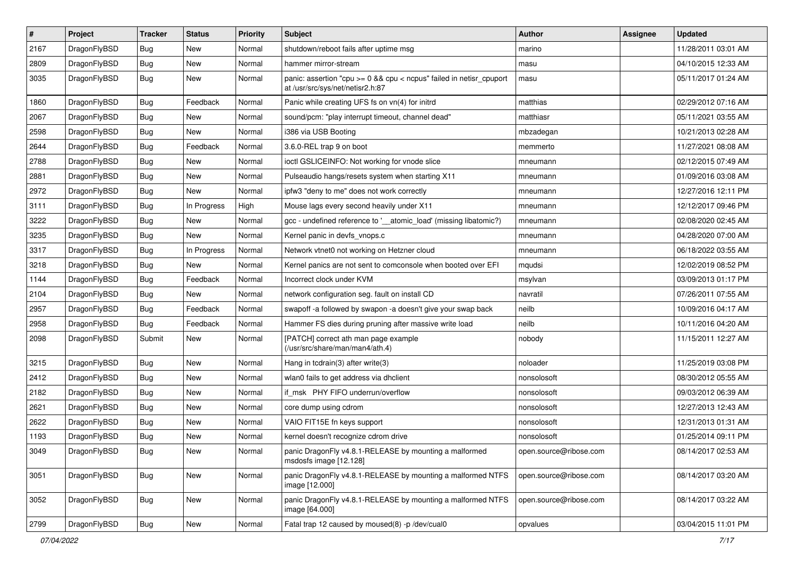| $\sharp$ | Project      | <b>Tracker</b> | <b>Status</b> | <b>Priority</b> | Subject                                                                                                   | <b>Author</b>          | <b>Assignee</b> | <b>Updated</b>      |
|----------|--------------|----------------|---------------|-----------------|-----------------------------------------------------------------------------------------------------------|------------------------|-----------------|---------------------|
| 2167     | DragonFlyBSD | <b>Bug</b>     | <b>New</b>    | Normal          | shutdown/reboot fails after uptime msg                                                                    | marino                 |                 | 11/28/2011 03:01 AM |
| 2809     | DragonFlyBSD | <b>Bug</b>     | <b>New</b>    | Normal          | hammer mirror-stream                                                                                      | masu                   |                 | 04/10/2015 12:33 AM |
| 3035     | DragonFlyBSD | Bug            | New           | Normal          | panic: assertion "cpu $>= 0$ && cpu < ncpus" failed in netisr cpuport<br>at /usr/src/sys/net/netisr2.h:87 | masu                   |                 | 05/11/2017 01:24 AM |
| 1860     | DragonFlyBSD | Bug            | Feedback      | Normal          | Panic while creating UFS fs on vn(4) for initrd                                                           | matthias               |                 | 02/29/2012 07:16 AM |
| 2067     | DragonFlyBSD | Bug            | New           | Normal          | sound/pcm: "play interrupt timeout, channel dead"                                                         | matthiasr              |                 | 05/11/2021 03:55 AM |
| 2598     | DragonFlyBSD | Bug            | New           | Normal          | i386 via USB Booting                                                                                      | mbzadegan              |                 | 10/21/2013 02:28 AM |
| 2644     | DragonFlyBSD | Bug            | Feedback      | Normal          | 3.6.0-REL trap 9 on boot                                                                                  | memmerto               |                 | 11/27/2021 08:08 AM |
| 2788     | DragonFlyBSD | <b>Bug</b>     | New           | Normal          | ioctl GSLICEINFO: Not working for vnode slice                                                             | mneumann               |                 | 02/12/2015 07:49 AM |
| 2881     | DragonFlyBSD | Bug            | <b>New</b>    | Normal          | Pulseaudio hangs/resets system when starting X11                                                          | mneumann               |                 | 01/09/2016 03:08 AM |
| 2972     | DragonFlyBSD | Bug            | New           | Normal          | ipfw3 "deny to me" does not work correctly                                                                | mneumann               |                 | 12/27/2016 12:11 PM |
| 3111     | DragonFlyBSD | Bug            | In Progress   | High            | Mouse lags every second heavily under X11                                                                 | mneumann               |                 | 12/12/2017 09:46 PM |
| 3222     | DragonFlyBSD | <b>Bug</b>     | New           | Normal          | gcc - undefined reference to ' atomic load' (missing libatomic?)                                          | mneumann               |                 | 02/08/2020 02:45 AM |
| 3235     | DragonFlyBSD | <b>Bug</b>     | New           | Normal          | Kernel panic in devfs vnops.c                                                                             | mneumann               |                 | 04/28/2020 07:00 AM |
| 3317     | DragonFlyBSD | Bug            | In Progress   | Normal          | Network vtnet0 not working on Hetzner cloud                                                               | mneumann               |                 | 06/18/2022 03:55 AM |
| 3218     | DragonFlyBSD | Bug            | <b>New</b>    | Normal          | Kernel panics are not sent to comconsole when booted over EFI                                             | mqudsi                 |                 | 12/02/2019 08:52 PM |
| 1144     | DragonFlyBSD | Bug            | Feedback      | Normal          | Incorrect clock under KVM                                                                                 | msylvan                |                 | 03/09/2013 01:17 PM |
| 2104     | DragonFlyBSD | Bug            | New           | Normal          | network configuration seg. fault on install CD                                                            | navratil               |                 | 07/26/2011 07:55 AM |
| 2957     | DragonFlyBSD | Bug            | Feedback      | Normal          | swapoff -a followed by swapon -a doesn't give your swap back                                              | neilb                  |                 | 10/09/2016 04:17 AM |
| 2958     | DragonFlyBSD | Bug            | Feedback      | Normal          | Hammer FS dies during pruning after massive write load                                                    | neilb                  |                 | 10/11/2016 04:20 AM |
| 2098     | DragonFlyBSD | Submit         | New           | Normal          | [PATCH] correct ath man page example<br>(/usr/src/share/man/man4/ath.4)                                   | nobody                 |                 | 11/15/2011 12:27 AM |
| 3215     | DragonFlyBSD | Bug            | <b>New</b>    | Normal          | Hang in tcdrain(3) after write(3)                                                                         | noloader               |                 | 11/25/2019 03:08 PM |
| 2412     | DragonFlyBSD | Bug            | New           | Normal          | wlan0 fails to get address via dhclient                                                                   | nonsolosoft            |                 | 08/30/2012 05:55 AM |
| 2182     | DragonFlyBSD | Bug            | New           | Normal          | if msk PHY FIFO underrun/overflow                                                                         | nonsolosoft            |                 | 09/03/2012 06:39 AM |
| 2621     | DragonFlyBSD | Bug            | New           | Normal          | core dump using cdrom                                                                                     | nonsolosoft            |                 | 12/27/2013 12:43 AM |
| 2622     | DragonFlyBSD | Bug            | New           | Normal          | VAIO FIT15E fn keys support                                                                               | nonsolosoft            |                 | 12/31/2013 01:31 AM |
| 1193     | DragonFlyBSD | Bug            | New           | Normal          | kernel doesn't recognize cdrom drive                                                                      | nonsolosoft            |                 | 01/25/2014 09:11 PM |
| 3049     | DragonFlyBSD | Bug            | <b>New</b>    | Normal          | panic DragonFly v4.8.1-RELEASE by mounting a malformed<br>msdosfs image [12.128]                          | open.source@ribose.com |                 | 08/14/2017 02:53 AM |
| 3051     | DragonFlyBSD | <b>Bug</b>     | New           | Normal          | panic DragonFly v4.8.1-RELEASE by mounting a malformed NTFS<br>image [12.000]                             | open.source@ribose.com |                 | 08/14/2017 03:20 AM |
| 3052     | DragonFlyBSD | Bug            | New           | Normal          | panic DragonFly v4.8.1-RELEASE by mounting a malformed NTFS<br>image [64.000]                             | open.source@ribose.com |                 | 08/14/2017 03:22 AM |
| 2799     | DragonFlyBSD | Bug            | New           | Normal          | Fatal trap 12 caused by moused(8) -p /dev/cual0                                                           | opvalues               |                 | 03/04/2015 11:01 PM |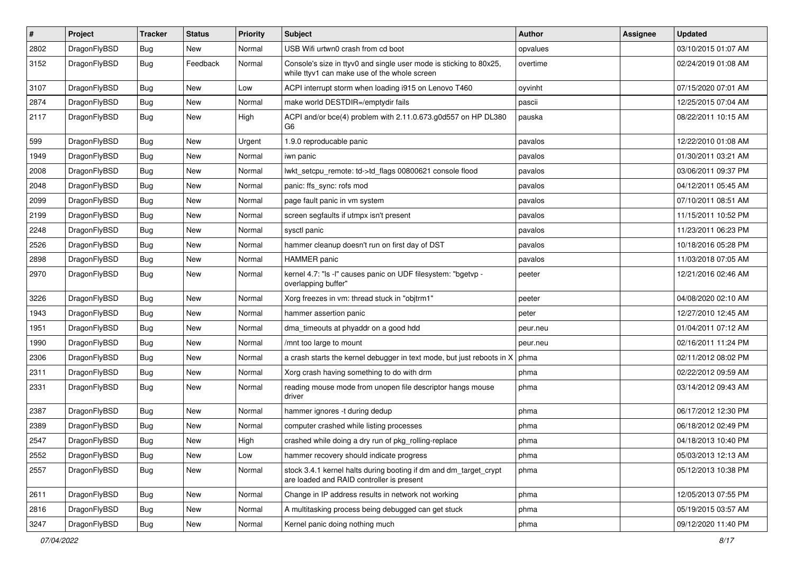| $\pmb{\#}$ | Project      | <b>Tracker</b> | <b>Status</b> | <b>Priority</b> | Subject                                                                                                            | <b>Author</b> | Assignee | <b>Updated</b>      |
|------------|--------------|----------------|---------------|-----------------|--------------------------------------------------------------------------------------------------------------------|---------------|----------|---------------------|
| 2802       | DragonFlyBSD | Bug            | New           | Normal          | USB Wifi urtwn0 crash from cd boot                                                                                 | opvalues      |          | 03/10/2015 01:07 AM |
| 3152       | DragonFlyBSD | Bug            | Feedback      | Normal          | Console's size in ttyv0 and single user mode is sticking to 80x25,<br>while ttyv1 can make use of the whole screen | overtime      |          | 02/24/2019 01:08 AM |
| 3107       | DragonFlyBSD | Bug            | <b>New</b>    | Low             | ACPI interrupt storm when loading i915 on Lenovo T460                                                              | oyvinht       |          | 07/15/2020 07:01 AM |
| 2874       | DragonFlyBSD | Bug            | <b>New</b>    | Normal          | make world DESTDIR=/emptydir fails                                                                                 | pascii        |          | 12/25/2015 07:04 AM |
| 2117       | DragonFlyBSD | Bug            | <b>New</b>    | High            | ACPI and/or bce(4) problem with 2.11.0.673.g0d557 on HP DL380<br>G6                                                | pauska        |          | 08/22/2011 10:15 AM |
| 599        | DragonFlyBSD | Bug            | <b>New</b>    | Urgent          | 1.9.0 reproducable panic                                                                                           | pavalos       |          | 12/22/2010 01:08 AM |
| 1949       | DragonFlyBSD | Bug            | New           | Normal          | iwn panic                                                                                                          | pavalos       |          | 01/30/2011 03:21 AM |
| 2008       | DragonFlyBSD | Bug            | New           | Normal          | lwkt_setcpu_remote: td->td_flags 00800621 console flood                                                            | pavalos       |          | 03/06/2011 09:37 PM |
| 2048       | DragonFlyBSD | Bug            | <b>New</b>    | Normal          | panic: ffs_sync: rofs mod                                                                                          | pavalos       |          | 04/12/2011 05:45 AM |
| 2099       | DragonFlyBSD | Bug            | New           | Normal          | page fault panic in vm system                                                                                      | pavalos       |          | 07/10/2011 08:51 AM |
| 2199       | DragonFlyBSD | Bug            | <b>New</b>    | Normal          | screen segfaults if utmpx isn't present                                                                            | pavalos       |          | 11/15/2011 10:52 PM |
| 2248       | DragonFlyBSD | Bug            | <b>New</b>    | Normal          | sysctl panic                                                                                                       | pavalos       |          | 11/23/2011 06:23 PM |
| 2526       | DragonFlyBSD | Bug            | <b>New</b>    | Normal          | hammer cleanup doesn't run on first day of DST                                                                     | pavalos       |          | 10/18/2016 05:28 PM |
| 2898       | DragonFlyBSD | Bug            | New           | Normal          | <b>HAMMER</b> panic                                                                                                | pavalos       |          | 11/03/2018 07:05 AM |
| 2970       | DragonFlyBSD | Bug            | New           | Normal          | kernel 4.7: "Is -I" causes panic on UDF filesystem: "bgetvp -<br>overlapping buffer"                               | peeter        |          | 12/21/2016 02:46 AM |
| 3226       | DragonFlyBSD | Bug            | <b>New</b>    | Normal          | Xorg freezes in vm: thread stuck in "objtrm1"                                                                      | peeter        |          | 04/08/2020 02:10 AM |
| 1943       | DragonFlyBSD | Bug            | New           | Normal          | hammer assertion panic                                                                                             | peter         |          | 12/27/2010 12:45 AM |
| 1951       | DragonFlyBSD | Bug            | <b>New</b>    | Normal          | dma timeouts at phyaddr on a good hdd                                                                              | peur.neu      |          | 01/04/2011 07:12 AM |
| 1990       | DragonFlyBSD | Bug            | New           | Normal          | /mnt too large to mount                                                                                            | peur.neu      |          | 02/16/2011 11:24 PM |
| 2306       | DragonFlyBSD | Bug            | <b>New</b>    | Normal          | a crash starts the kernel debugger in text mode, but just reboots in X                                             | phma          |          | 02/11/2012 08:02 PM |
| 2311       | DragonFlyBSD | Bug            | <b>New</b>    | Normal          | Xorg crash having something to do with drm                                                                         | phma          |          | 02/22/2012 09:59 AM |
| 2331       | DragonFlyBSD | Bug            | New           | Normal          | reading mouse mode from unopen file descriptor hangs mouse<br>driver                                               | phma          |          | 03/14/2012 09:43 AM |
| 2387       | DragonFlyBSD | Bug            | <b>New</b>    | Normal          | hammer ignores -t during dedup                                                                                     | phma          |          | 06/17/2012 12:30 PM |
| 2389       | DragonFlyBSD | Bug            | <b>New</b>    | Normal          | computer crashed while listing processes                                                                           | phma          |          | 06/18/2012 02:49 PM |
| 2547       | DragonFlyBSD | <b>Bug</b>     | <b>New</b>    | High            | crashed while doing a dry run of pkg rolling-replace                                                               | phma          |          | 04/18/2013 10:40 PM |
| 2552       | DragonFlyBSD | <b>Bug</b>     | New           | Low             | hammer recovery should indicate progress                                                                           | phma          |          | 05/03/2013 12:13 AM |
| 2557       | DragonFlyBSD | <b>Bug</b>     | New           | Normal          | stock 3.4.1 kernel halts during booting if dm and dm_target_crypt<br>are loaded and RAID controller is present     | phma          |          | 05/12/2013 10:38 PM |
| 2611       | DragonFlyBSD | Bug            | New           | Normal          | Change in IP address results in network not working                                                                | phma          |          | 12/05/2013 07:55 PM |
| 2816       | DragonFlyBSD | Bug            | New           | Normal          | A multitasking process being debugged can get stuck                                                                | phma          |          | 05/19/2015 03:57 AM |
| 3247       | DragonFlyBSD | <b>Bug</b>     | New           | Normal          | Kernel panic doing nothing much                                                                                    | phma          |          | 09/12/2020 11:40 PM |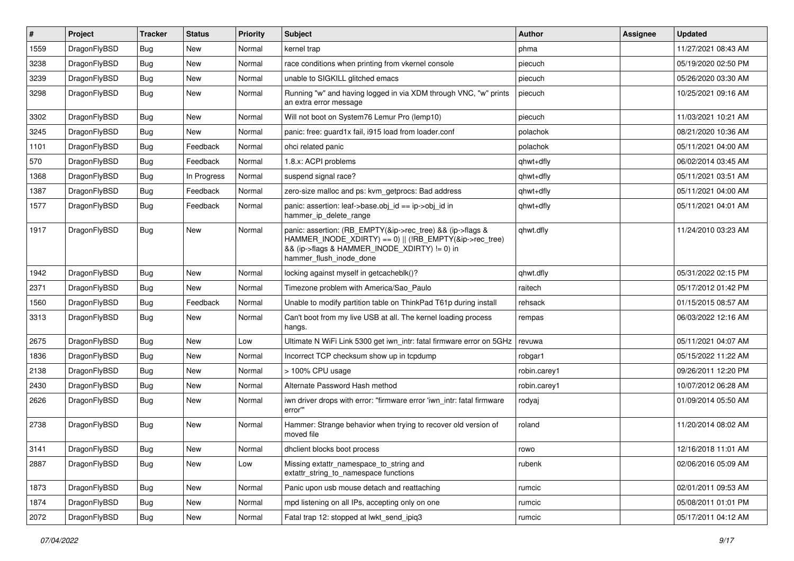| #    | Project      | <b>Tracker</b> | <b>Status</b> | <b>Priority</b> | Subject                                                                                                                                                                                           | Author       | Assignee | <b>Updated</b>      |
|------|--------------|----------------|---------------|-----------------|---------------------------------------------------------------------------------------------------------------------------------------------------------------------------------------------------|--------------|----------|---------------------|
| 1559 | DragonFlyBSD | Bug            | <b>New</b>    | Normal          | kernel trap                                                                                                                                                                                       | phma         |          | 11/27/2021 08:43 AM |
| 3238 | DragonFlyBSD | <b>Bug</b>     | <b>New</b>    | Normal          | race conditions when printing from vkernel console                                                                                                                                                | piecuch      |          | 05/19/2020 02:50 PM |
| 3239 | DragonFlyBSD | <b>Bug</b>     | New           | Normal          | unable to SIGKILL glitched emacs                                                                                                                                                                  | piecuch      |          | 05/26/2020 03:30 AM |
| 3298 | DragonFlyBSD | Bug            | New           | Normal          | Running "w" and having logged in via XDM through VNC, "w" prints<br>an extra error message                                                                                                        | piecuch      |          | 10/25/2021 09:16 AM |
| 3302 | DragonFlyBSD | Bug            | New           | Normal          | Will not boot on System76 Lemur Pro (lemp10)                                                                                                                                                      | piecuch      |          | 11/03/2021 10:21 AM |
| 3245 | DragonFlyBSD | <b>Bug</b>     | New           | Normal          | panic: free: guard1x fail, i915 load from loader.conf                                                                                                                                             | polachok     |          | 08/21/2020 10:36 AM |
| 1101 | DragonFlyBSD | <b>Bug</b>     | Feedback      | Normal          | ohci related panic                                                                                                                                                                                | polachok     |          | 05/11/2021 04:00 AM |
| 570  | DragonFlyBSD | Bug            | Feedback      | Normal          | 1.8.x: ACPI problems                                                                                                                                                                              | qhwt+dfly    |          | 06/02/2014 03:45 AM |
| 1368 | DragonFlyBSD | <b>Bug</b>     | In Progress   | Normal          | suspend signal race?                                                                                                                                                                              | qhwt+dfly    |          | 05/11/2021 03:51 AM |
| 1387 | DragonFlyBSD | Bug            | Feedback      | Normal          | zero-size malloc and ps: kvm getprocs: Bad address                                                                                                                                                | qhwt+dfly    |          | 05/11/2021 04:00 AM |
| 1577 | DragonFlyBSD | Bug            | Feedback      | Normal          | panic: assertion: leaf->base.obj_id == ip->obj_id in<br>hammer_ip_delete_range                                                                                                                    | qhwt+dfly    |          | 05/11/2021 04:01 AM |
| 1917 | DragonFlyBSD | Bug            | <b>New</b>    | Normal          | panic: assertion: (RB_EMPTY(&ip->rec_tree) && (ip->flags &<br>HAMMER_INODE_XDIRTY) == 0)    (!RB_EMPTY(&ip->rec_tree)<br>&& (ip->flags & HAMMER_INODE_XDIRTY) != 0) in<br>hammer_flush_inode_done | qhwt.dfly    |          | 11/24/2010 03:23 AM |
| 1942 | DragonFlyBSD | <b>Bug</b>     | <b>New</b>    | Normal          | locking against myself in getcacheblk()?                                                                                                                                                          | qhwt.dfly    |          | 05/31/2022 02:15 PM |
| 2371 | DragonFlyBSD | <b>Bug</b>     | New           | Normal          | Timezone problem with America/Sao_Paulo                                                                                                                                                           | raitech      |          | 05/17/2012 01:42 PM |
| 1560 | DragonFlyBSD | Bug            | Feedback      | Normal          | Unable to modify partition table on ThinkPad T61p during install                                                                                                                                  | rehsack      |          | 01/15/2015 08:57 AM |
| 3313 | DragonFlyBSD | <b>Bug</b>     | New           | Normal          | Can't boot from my live USB at all. The kernel loading process<br>hangs.                                                                                                                          | rempas       |          | 06/03/2022 12:16 AM |
| 2675 | DragonFlyBSD | Bug            | <b>New</b>    | Low             | Ultimate N WiFi Link 5300 get iwn_intr: fatal firmware error on 5GHz                                                                                                                              | revuwa       |          | 05/11/2021 04:07 AM |
| 1836 | DragonFlyBSD | <b>Bug</b>     | New           | Normal          | Incorrect TCP checksum show up in tcpdump                                                                                                                                                         | robgar1      |          | 05/15/2022 11:22 AM |
| 2138 | DragonFlyBSD | <b>Bug</b>     | New           | Normal          | > 100% CPU usage                                                                                                                                                                                  | robin.carey1 |          | 09/26/2011 12:20 PM |
| 2430 | DragonFlyBSD | <b>Bug</b>     | New           | Normal          | Alternate Password Hash method                                                                                                                                                                    | robin.carey1 |          | 10/07/2012 06:28 AM |
| 2626 | DragonFlyBSD | Bug            | New           | Normal          | iwn driver drops with error: "firmware error 'iwn intr: fatal firmware<br>error""                                                                                                                 | rodyaj       |          | 01/09/2014 05:50 AM |
| 2738 | DragonFlyBSD | Bug            | <b>New</b>    | Normal          | Hammer: Strange behavior when trying to recover old version of<br>moved file                                                                                                                      | roland       |          | 11/20/2014 08:02 AM |
| 3141 | DragonFlyBSD | <b>Bug</b>     | New           | Normal          | dhclient blocks boot process                                                                                                                                                                      | rowo         |          | 12/16/2018 11:01 AM |
| 2887 | DragonFlyBSD | Bug            | New           | Low             | Missing extattr_namespace_to_string and<br>extattr_string_to_namespace functions                                                                                                                  | rubenk       |          | 02/06/2016 05:09 AM |
| 1873 | DragonFlyBSD | Bug            | New           | Normal          | Panic upon usb mouse detach and reattaching                                                                                                                                                       | rumcic       |          | 02/01/2011 09:53 AM |
| 1874 | DragonFlyBSD | <b>Bug</b>     | New           | Normal          | mpd listening on all IPs, accepting only on one                                                                                                                                                   | rumcic       |          | 05/08/2011 01:01 PM |
| 2072 | DragonFlyBSD | Bug            | New           | Normal          | Fatal trap 12: stopped at lwkt_send_ipiq3                                                                                                                                                         | rumcic       |          | 05/17/2011 04:12 AM |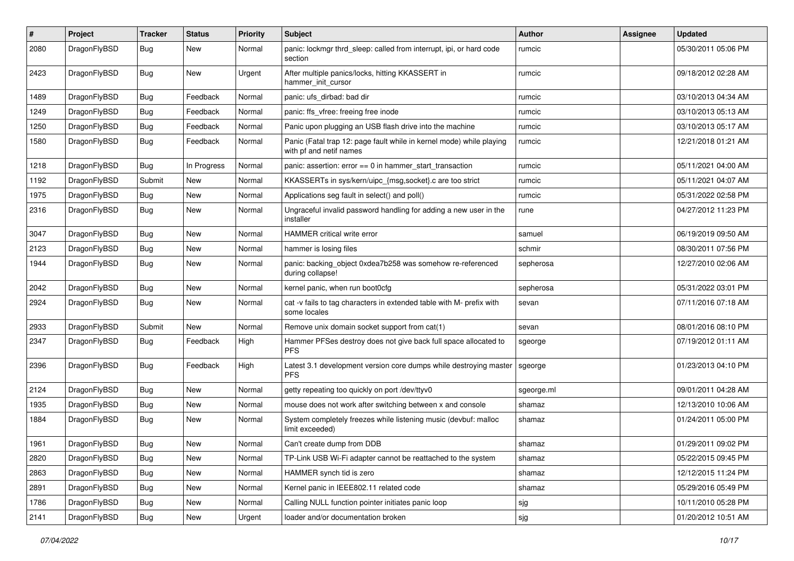| $\#$ | Project      | <b>Tracker</b> | <b>Status</b> | <b>Priority</b> | Subject                                                                                         | <b>Author</b> | Assignee | <b>Updated</b>      |
|------|--------------|----------------|---------------|-----------------|-------------------------------------------------------------------------------------------------|---------------|----------|---------------------|
| 2080 | DragonFlyBSD | Bug            | <b>New</b>    | Normal          | panic: lockmgr thrd_sleep: called from interrupt, ipi, or hard code<br>section                  | rumcic        |          | 05/30/2011 05:06 PM |
| 2423 | DragonFlyBSD | <b>Bug</b>     | <b>New</b>    | Urgent          | After multiple panics/locks, hitting KKASSERT in<br>hammer init cursor                          | rumcic        |          | 09/18/2012 02:28 AM |
| 1489 | DragonFlyBSD | <b>Bug</b>     | Feedback      | Normal          | panic: ufs_dirbad: bad dir                                                                      | rumcic        |          | 03/10/2013 04:34 AM |
| 1249 | DragonFlyBSD | <b>Bug</b>     | Feedback      | Normal          | panic: ffs vfree: freeing free inode                                                            | rumcic        |          | 03/10/2013 05:13 AM |
| 1250 | DragonFlyBSD | <b>Bug</b>     | Feedback      | Normal          | Panic upon plugging an USB flash drive into the machine                                         | rumcic        |          | 03/10/2013 05:17 AM |
| 1580 | DragonFlyBSD | <b>Bug</b>     | Feedback      | Normal          | Panic (Fatal trap 12: page fault while in kernel mode) while playing<br>with pf and netif names | rumcic        |          | 12/21/2018 01:21 AM |
| 1218 | DragonFlyBSD | <b>Bug</b>     | In Progress   | Normal          | panic: assertion: error == 0 in hammer_start_transaction                                        | rumcic        |          | 05/11/2021 04:00 AM |
| 1192 | DragonFlyBSD | Submit         | New           | Normal          | KKASSERTs in sys/kern/uipc_{msg,socket}.c are too strict                                        | rumcic        |          | 05/11/2021 04:07 AM |
| 1975 | DragonFlyBSD | <b>Bug</b>     | New           | Normal          | Applications seg fault in select() and poll()                                                   | rumcic        |          | 05/31/2022 02:58 PM |
| 2316 | DragonFlyBSD | Bug            | <b>New</b>    | Normal          | Ungraceful invalid password handling for adding a new user in the<br>installer                  | rune          |          | 04/27/2012 11:23 PM |
| 3047 | DragonFlyBSD | Bug            | <b>New</b>    | Normal          | HAMMER critical write error                                                                     | samuel        |          | 06/19/2019 09:50 AM |
| 2123 | DragonFlyBSD | <b>Bug</b>     | <b>New</b>    | Normal          | hammer is losing files                                                                          | schmir        |          | 08/30/2011 07:56 PM |
| 1944 | DragonFlyBSD | <b>Bug</b>     | New           | Normal          | panic: backing_object 0xdea7b258 was somehow re-referenced<br>during collapse!                  | sepherosa     |          | 12/27/2010 02:06 AM |
| 2042 | DragonFlyBSD | Bug            | <b>New</b>    | Normal          | kernel panic, when run boot0cfg                                                                 | sepherosa     |          | 05/31/2022 03:01 PM |
| 2924 | DragonFlyBSD | <b>Bug</b>     | <b>New</b>    | Normal          | cat -v fails to tag characters in extended table with M- prefix with<br>some locales            | sevan         |          | 07/11/2016 07:18 AM |
| 2933 | DragonFlyBSD | Submit         | New           | Normal          | Remove unix domain socket support from cat(1)                                                   | sevan         |          | 08/01/2016 08:10 PM |
| 2347 | DragonFlyBSD | Bug            | Feedback      | High            | Hammer PFSes destroy does not give back full space allocated to<br><b>PFS</b>                   | sgeorge       |          | 07/19/2012 01:11 AM |
| 2396 | DragonFlyBSD | Bug            | Feedback      | High            | Latest 3.1 development version core dumps while destroying master<br><b>PFS</b>                 | sgeorge       |          | 01/23/2013 04:10 PM |
| 2124 | DragonFlyBSD | Bug            | <b>New</b>    | Normal          | getty repeating too quickly on port /dev/ttyv0                                                  | sgeorge.ml    |          | 09/01/2011 04:28 AM |
| 1935 | DragonFlyBSD | <b>Bug</b>     | New           | Normal          | mouse does not work after switching between x and console                                       | shamaz        |          | 12/13/2010 10:06 AM |
| 1884 | DragonFlyBSD | Bug            | <b>New</b>    | Normal          | System completely freezes while listening music (devbuf: malloc<br>limit exceeded)              | shamaz        |          | 01/24/2011 05:00 PM |
| 1961 | DragonFlyBSD | <b>Bug</b>     | New           | Normal          | Can't create dump from DDB                                                                      | shamaz        |          | 01/29/2011 09:02 PM |
| 2820 | DragonFlyBSD | Bug            | New           | Normal          | TP-Link USB Wi-Fi adapter cannot be reattached to the system                                    | shamaz        |          | 05/22/2015 09:45 PM |
| 2863 | DragonFlyBSD | Bug            | New           | Normal          | HAMMER synch tid is zero                                                                        | shamaz        |          | 12/12/2015 11:24 PM |
| 2891 | DragonFlyBSD | <b>Bug</b>     | New           | Normal          | Kernel panic in IEEE802.11 related code                                                         | shamaz        |          | 05/29/2016 05:49 PM |
| 1786 | DragonFlyBSD | <b>Bug</b>     | New           | Normal          | Calling NULL function pointer initiates panic loop                                              | sjg           |          | 10/11/2010 05:28 PM |
| 2141 | DragonFlyBSD | <b>Bug</b>     | New           | Urgent          | loader and/or documentation broken                                                              | sjg           |          | 01/20/2012 10:51 AM |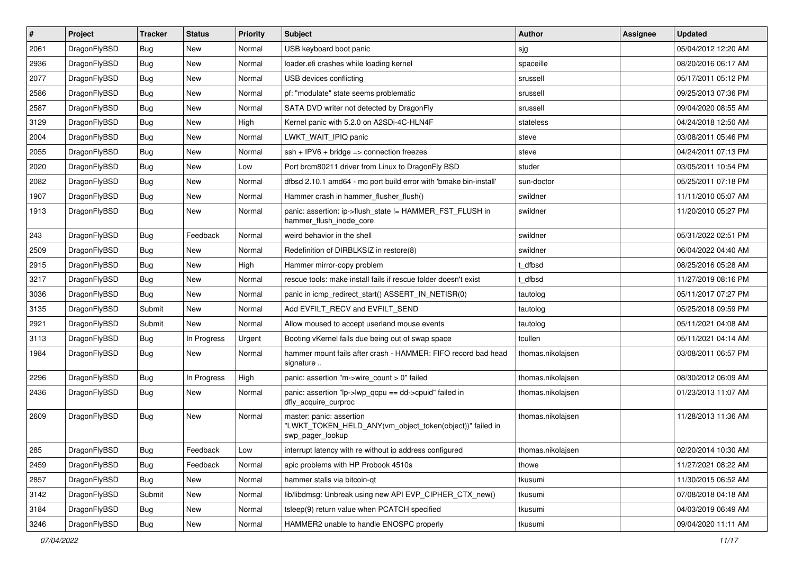| #    | Project      | <b>Tracker</b> | <b>Status</b> | <b>Priority</b> | Subject                                                                                                  | <b>Author</b>     | Assignee | <b>Updated</b>      |
|------|--------------|----------------|---------------|-----------------|----------------------------------------------------------------------------------------------------------|-------------------|----------|---------------------|
| 2061 | DragonFlyBSD | Bug            | New           | Normal          | USB keyboard boot panic                                                                                  | sjg               |          | 05/04/2012 12:20 AM |
| 2936 | DragonFlyBSD | <b>Bug</b>     | <b>New</b>    | Normal          | loader.efi crashes while loading kernel                                                                  | spaceille         |          | 08/20/2016 06:17 AM |
| 2077 | DragonFlyBSD | <b>Bug</b>     | New           | Normal          | USB devices conflicting                                                                                  | srussell          |          | 05/17/2011 05:12 PM |
| 2586 | DragonFlyBSD | <b>Bug</b>     | <b>New</b>    | Normal          | pf: "modulate" state seems problematic                                                                   | srussell          |          | 09/25/2013 07:36 PM |
| 2587 | DragonFlyBSD | <b>Bug</b>     | <b>New</b>    | Normal          | SATA DVD writer not detected by DragonFly                                                                | srussell          |          | 09/04/2020 08:55 AM |
| 3129 | DragonFlyBSD | <b>Bug</b>     | <b>New</b>    | High            | Kernel panic with 5.2.0 on A2SDi-4C-HLN4F                                                                | stateless         |          | 04/24/2018 12:50 AM |
| 2004 | DragonFlyBSD | <b>Bug</b>     | New           | Normal          | LWKT_WAIT_IPIQ panic                                                                                     | steve             |          | 03/08/2011 05:46 PM |
| 2055 | DragonFlyBSD | <b>Bug</b>     | New           | Normal          | $ssh + IPV6 + bridge \Rightarrow connection freezes$                                                     | steve             |          | 04/24/2011 07:13 PM |
| 2020 | DragonFlyBSD | <b>Bug</b>     | <b>New</b>    | Low             | Port brcm80211 driver from Linux to DragonFly BSD                                                        | studer            |          | 03/05/2011 10:54 PM |
| 2082 | DragonFlyBSD | <b>Bug</b>     | <b>New</b>    | Normal          | dfbsd 2.10.1 amd64 - mc port build error with 'bmake bin-install'                                        | sun-doctor        |          | 05/25/2011 07:18 PM |
| 1907 | DragonFlyBSD | <b>Bug</b>     | New           | Normal          | Hammer crash in hammer_flusher_flush()                                                                   | swildner          |          | 11/11/2010 05:07 AM |
| 1913 | DragonFlyBSD | <b>Bug</b>     | <b>New</b>    | Normal          | panic: assertion: ip->flush state != HAMMER FST FLUSH in<br>hammer_flush_inode_core                      | swildner          |          | 11/20/2010 05:27 PM |
| 243  | DragonFlyBSD | <b>Bug</b>     | Feedback      | Normal          | weird behavior in the shell                                                                              | swildner          |          | 05/31/2022 02:51 PM |
| 2509 | DragonFlyBSD | <b>Bug</b>     | <b>New</b>    | Normal          | Redefinition of DIRBLKSIZ in restore(8)                                                                  | swildner          |          | 06/04/2022 04:40 AM |
| 2915 | DragonFlyBSD | <b>Bug</b>     | New           | High            | Hammer mirror-copy problem                                                                               | t dfbsd           |          | 08/25/2016 05:28 AM |
| 3217 | DragonFlyBSD | <b>Bug</b>     | New           | Normal          | rescue tools: make install fails if rescue folder doesn't exist                                          | t dfbsd           |          | 11/27/2019 08:16 PM |
| 3036 | DragonFlyBSD | Bug            | <b>New</b>    | Normal          | panic in icmp_redirect_start() ASSERT_IN_NETISR(0)                                                       | tautolog          |          | 05/11/2017 07:27 PM |
| 3135 | DragonFlyBSD | Submit         | New           | Normal          | Add EVFILT_RECV and EVFILT_SEND                                                                          | tautolog          |          | 05/25/2018 09:59 PM |
| 2921 | DragonFlyBSD | Submit         | <b>New</b>    | Normal          | Allow moused to accept userland mouse events                                                             | tautolog          |          | 05/11/2021 04:08 AM |
| 3113 | DragonFlyBSD | <b>Bug</b>     | In Progress   | Urgent          | Booting vKernel fails due being out of swap space                                                        | tcullen           |          | 05/11/2021 04:14 AM |
| 1984 | DragonFlyBSD | <b>Bug</b>     | <b>New</b>    | Normal          | hammer mount fails after crash - HAMMER: FIFO record bad head<br>signature                               | thomas.nikolajsen |          | 03/08/2011 06:57 PM |
| 2296 | DragonFlyBSD | <b>Bug</b>     | In Progress   | High            | panic: assertion "m->wire count > 0" failed                                                              | thomas.nikolajsen |          | 08/30/2012 06:09 AM |
| 2436 | DragonFlyBSD | <b>Bug</b>     | New           | Normal          | panic: assertion "lp->lwp qcpu == dd->cpuid" failed in<br>dfly_acquire_curproc                           | thomas.nikolajsen |          | 01/23/2013 11:07 AM |
| 2609 | DragonFlyBSD | <b>Bug</b>     | New           | Normal          | master: panic: assertion<br>"LWKT_TOKEN_HELD_ANY(vm_object_token(object))" failed in<br>swp_pager_lookup | thomas.nikolajsen |          | 11/28/2013 11:36 AM |
| 285  | DragonFlyBSD | <b>Bug</b>     | Feedback      | Low             | interrupt latency with re without ip address configured                                                  | thomas.nikolajsen |          | 02/20/2014 10:30 AM |
| 2459 | DragonFlyBSD | <b>Bug</b>     | Feedback      | Normal          | apic problems with HP Probook 4510s                                                                      | thowe             |          | 11/27/2021 08:22 AM |
| 2857 | DragonFlyBSD | <b>Bug</b>     | New           | Normal          | hammer stalls via bitcoin-qt                                                                             | tkusumi           |          | 11/30/2015 06:52 AM |
| 3142 | DragonFlyBSD | Submit         | New           | Normal          | lib/libdmsg: Unbreak using new API EVP_CIPHER_CTX_new()                                                  | tkusumi           |          | 07/08/2018 04:18 AM |
| 3184 | DragonFlyBSD | <b>Bug</b>     | New           | Normal          | tsleep(9) return value when PCATCH specified                                                             | tkusumi           |          | 04/03/2019 06:49 AM |
| 3246 | DragonFlyBSD | <b>Bug</b>     | New           | Normal          | HAMMER2 unable to handle ENOSPC properly                                                                 | tkusumi           |          | 09/04/2020 11:11 AM |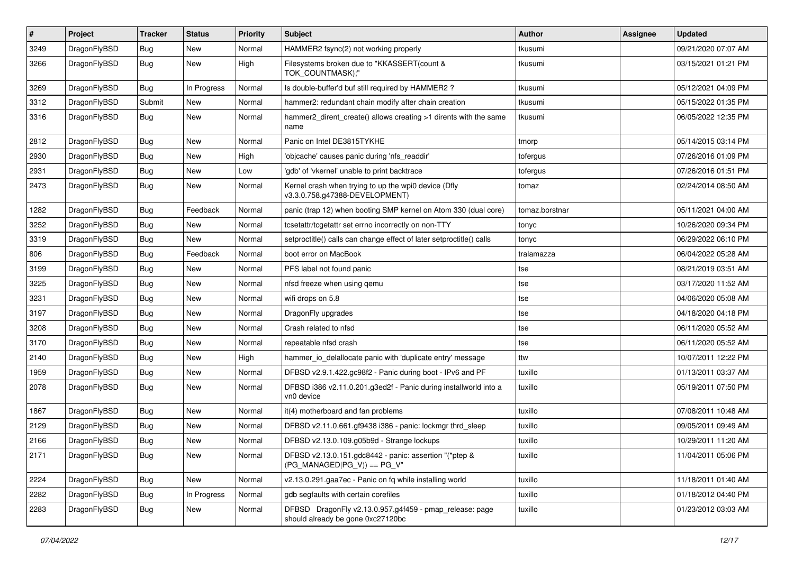| #    | Project      | <b>Tracker</b> | <b>Status</b> | <b>Priority</b> | Subject                                                                                      | Author         | <b>Assignee</b> | <b>Updated</b>      |
|------|--------------|----------------|---------------|-----------------|----------------------------------------------------------------------------------------------|----------------|-----------------|---------------------|
| 3249 | DragonFlyBSD | Bug            | <b>New</b>    | Normal          | HAMMER2 fsync(2) not working properly                                                        | tkusumi        |                 | 09/21/2020 07:07 AM |
| 3266 | DragonFlyBSD | Bug            | New           | High            | Filesystems broken due to "KKASSERT(count &<br>TOK COUNTMASK);"                              | tkusumi        |                 | 03/15/2021 01:21 PM |
| 3269 | DragonFlyBSD | Bug            | In Progress   | Normal          | Is double-buffer'd buf still required by HAMMER2 ?                                           | tkusumi        |                 | 05/12/2021 04:09 PM |
| 3312 | DragonFlyBSD | Submit         | <b>New</b>    | Normal          | hammer2: redundant chain modify after chain creation                                         | tkusumi        |                 | 05/15/2022 01:35 PM |
| 3316 | DragonFlyBSD | Bug            | New           | Normal          | hammer2 dirent create() allows creating >1 dirents with the same<br>name                     | tkusumi        |                 | 06/05/2022 12:35 PM |
| 2812 | DragonFlyBSD | <b>Bug</b>     | New           | Normal          | Panic on Intel DE3815TYKHE                                                                   | tmorp          |                 | 05/14/2015 03:14 PM |
| 2930 | DragonFlyBSD | <b>Bug</b>     | <b>New</b>    | High            | 'objcache' causes panic during 'nfs_readdir'                                                 | tofergus       |                 | 07/26/2016 01:09 PM |
| 2931 | DragonFlyBSD | Bug            | <b>New</b>    | Low             | 'gdb' of 'vkernel' unable to print backtrace                                                 | tofergus       |                 | 07/26/2016 01:51 PM |
| 2473 | DragonFlyBSD | <b>Bug</b>     | <b>New</b>    | Normal          | Kernel crash when trying to up the wpi0 device (Dfly<br>v3.3.0.758.g47388-DEVELOPMENT)       | tomaz          |                 | 02/24/2014 08:50 AM |
| 1282 | DragonFlyBSD | Bug            | Feedback      | Normal          | panic (trap 12) when booting SMP kernel on Atom 330 (dual core)                              | tomaz.borstnar |                 | 05/11/2021 04:00 AM |
| 3252 | DragonFlyBSD | <b>Bug</b>     | New           | Normal          | tcsetattr/tcgetattr set errno incorrectly on non-TTY                                         | tonyc          |                 | 10/26/2020 09:34 PM |
| 3319 | DragonFlyBSD | Bug            | New           | Normal          | setproctitle() calls can change effect of later setproctitle() calls                         | tonyc          |                 | 06/29/2022 06:10 PM |
| 806  | DragonFlyBSD | <b>Bug</b>     | Feedback      | Normal          | boot error on MacBook                                                                        | tralamazza     |                 | 06/04/2022 05:28 AM |
| 3199 | DragonFlyBSD | <b>Bug</b>     | <b>New</b>    | Normal          | PFS label not found panic                                                                    | tse            |                 | 08/21/2019 03:51 AM |
| 3225 | DragonFlyBSD | <b>Bug</b>     | <b>New</b>    | Normal          | nfsd freeze when using qemu                                                                  | tse            |                 | 03/17/2020 11:52 AM |
| 3231 | DragonFlyBSD | <b>Bug</b>     | <b>New</b>    | Normal          | wifi drops on 5.8                                                                            | tse            |                 | 04/06/2020 05:08 AM |
| 3197 | DragonFlyBSD | Bug            | <b>New</b>    | Normal          | DragonFly upgrades                                                                           | tse            |                 | 04/18/2020 04:18 PM |
| 3208 | DragonFlyBSD | <b>Bug</b>     | New           | Normal          | Crash related to nfsd                                                                        | tse            |                 | 06/11/2020 05:52 AM |
| 3170 | DragonFlyBSD | <b>Bug</b>     | <b>New</b>    | Normal          | repeatable nfsd crash                                                                        | tse            |                 | 06/11/2020 05:52 AM |
| 2140 | DragonFlyBSD | Bug            | <b>New</b>    | High            | hammer_io_delallocate panic with 'duplicate entry' message                                   | ttw            |                 | 10/07/2011 12:22 PM |
| 1959 | DragonFlyBSD | <b>Bug</b>     | <b>New</b>    | Normal          | DFBSD v2.9.1.422.gc98f2 - Panic during boot - IPv6 and PF                                    | tuxillo        |                 | 01/13/2011 03:37 AM |
| 2078 | DragonFlyBSD | Bug            | New           | Normal          | DFBSD i386 v2.11.0.201.g3ed2f - Panic during installworld into a<br>vn0 device               | tuxillo        |                 | 05/19/2011 07:50 PM |
| 1867 | DragonFlyBSD | <b>Bug</b>     | New           | Normal          | it(4) motherboard and fan problems                                                           | tuxillo        |                 | 07/08/2011 10:48 AM |
| 2129 | DragonFlyBSD | <b>Bug</b>     | <b>New</b>    | Normal          | DFBSD v2.11.0.661.gf9438 i386 - panic: lockmgr thrd_sleep                                    | tuxillo        |                 | 09/05/2011 09:49 AM |
| 2166 | DragonFlyBSD | <b>Bug</b>     | New           | Normal          | DFBSD v2.13.0.109.g05b9d - Strange lockups                                                   | tuxillo        |                 | 10/29/2011 11:20 AM |
| 2171 | DragonFlyBSD | <b>Bug</b>     | New           | Normal          | DFBSD v2.13.0.151.gdc8442 - panic: assertion "(*ptep &<br>$(PG_MANAGED PG_V)$ == PG_V"       | tuxillo        |                 | 11/04/2011 05:06 PM |
| 2224 | DragonFlyBSD | Bug            | New           | Normal          | v2.13.0.291.gaa7ec - Panic on fq while installing world                                      | tuxillo        |                 | 11/18/2011 01:40 AM |
| 2282 | DragonFlyBSD | Bug            | In Progress   | Normal          | gdb segfaults with certain corefiles                                                         | tuxillo        |                 | 01/18/2012 04:40 PM |
| 2283 | DragonFlyBSD | <b>Bug</b>     | New           | Normal          | DFBSD DragonFly v2.13.0.957.g4f459 - pmap_release: page<br>should already be gone 0xc27120bc | tuxillo        |                 | 01/23/2012 03:03 AM |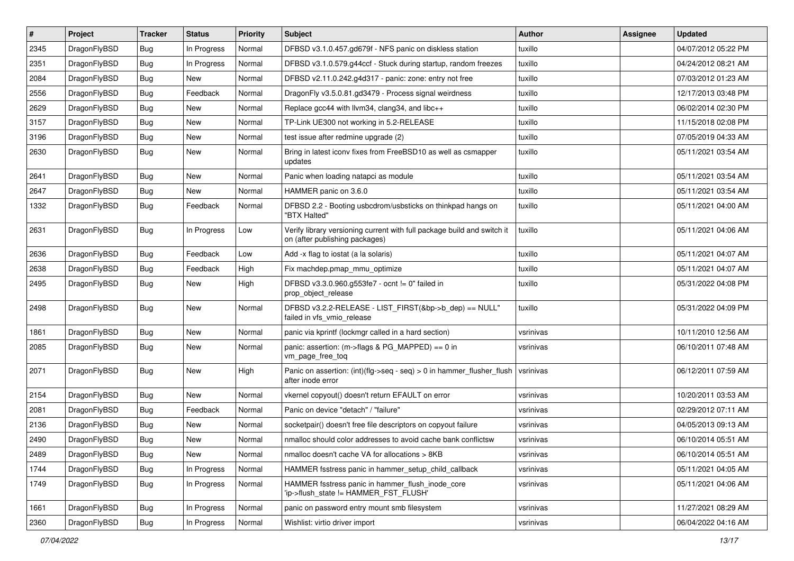| #    | Project      | <b>Tracker</b> | <b>Status</b> | <b>Priority</b> | <b>Subject</b>                                                                                            | <b>Author</b> | <b>Assignee</b> | <b>Updated</b>      |
|------|--------------|----------------|---------------|-----------------|-----------------------------------------------------------------------------------------------------------|---------------|-----------------|---------------------|
| 2345 | DragonFlyBSD | <b>Bug</b>     | In Progress   | Normal          | DFBSD v3.1.0.457.gd679f - NFS panic on diskless station                                                   | tuxillo       |                 | 04/07/2012 05:22 PM |
| 2351 | DragonFlyBSD | <b>Bug</b>     | In Progress   | Normal          | DFBSD v3.1.0.579.g44ccf - Stuck during startup, random freezes                                            | tuxillo       |                 | 04/24/2012 08:21 AM |
| 2084 | DragonFlyBSD | <b>Bug</b>     | New           | Normal          | DFBSD v2.11.0.242.g4d317 - panic: zone: entry not free                                                    | tuxillo       |                 | 07/03/2012 01:23 AM |
| 2556 | DragonFlyBSD | <b>Bug</b>     | Feedback      | Normal          | DragonFly v3.5.0.81.gd3479 - Process signal weirdness                                                     | tuxillo       |                 | 12/17/2013 03:48 PM |
| 2629 | DragonFlyBSD | <b>Bug</b>     | <b>New</b>    | Normal          | Replace gcc44 with llvm34, clang34, and libc++                                                            | tuxillo       |                 | 06/02/2014 02:30 PM |
| 3157 | DragonFlyBSD | <b>Bug</b>     | New           | Normal          | TP-Link UE300 not working in 5.2-RELEASE                                                                  | tuxillo       |                 | 11/15/2018 02:08 PM |
| 3196 | DragonFlyBSD | <b>Bug</b>     | New           | Normal          | test issue after redmine upgrade (2)                                                                      | tuxillo       |                 | 07/05/2019 04:33 AM |
| 2630 | DragonFlyBSD | <b>Bug</b>     | <b>New</b>    | Normal          | Bring in latest iconv fixes from FreeBSD10 as well as csmapper<br>updates                                 | tuxillo       |                 | 05/11/2021 03:54 AM |
| 2641 | DragonFlyBSD | <b>Bug</b>     | New           | Normal          | Panic when loading natapci as module                                                                      | tuxillo       |                 | 05/11/2021 03:54 AM |
| 2647 | DragonFlyBSD | <b>Bug</b>     | New           | Normal          | HAMMER panic on 3.6.0                                                                                     | tuxillo       |                 | 05/11/2021 03:54 AM |
| 1332 | DragonFlyBSD | <b>Bug</b>     | Feedback      | Normal          | DFBSD 2.2 - Booting usbcdrom/usbsticks on thinkpad hangs on<br>"BTX Halted"                               | tuxillo       |                 | 05/11/2021 04:00 AM |
| 2631 | DragonFlyBSD | <b>Bug</b>     | In Progress   | Low             | Verify library versioning current with full package build and switch it<br>on (after publishing packages) | tuxillo       |                 | 05/11/2021 04:06 AM |
| 2636 | DragonFlyBSD | <b>Bug</b>     | Feedback      | Low             | Add -x flag to iostat (a la solaris)                                                                      | tuxillo       |                 | 05/11/2021 04:07 AM |
| 2638 | DragonFlyBSD | <b>Bug</b>     | Feedback      | High            | Fix machdep.pmap_mmu_optimize                                                                             | tuxillo       |                 | 05/11/2021 04:07 AM |
| 2495 | DragonFlyBSD | <b>Bug</b>     | New           | High            | DFBSD v3.3.0.960.g553fe7 - ocnt != 0" failed in<br>prop object release                                    | tuxillo       |                 | 05/31/2022 04:08 PM |
| 2498 | DragonFlyBSD | Bug            | New           | Normal          | DFBSD v3.2.2-RELEASE - LIST_FIRST(&bp->b_dep) == NULL"<br>failed in vfs_vmio_release                      | tuxillo       |                 | 05/31/2022 04:09 PM |
| 1861 | DragonFlyBSD | Bug            | <b>New</b>    | Normal          | panic via kprintf (lockmgr called in a hard section)                                                      | vsrinivas     |                 | 10/11/2010 12:56 AM |
| 2085 | DragonFlyBSD | Bug            | New           | Normal          | panic: assertion: (m->flags & PG_MAPPED) == 0 in<br>vm_page_free_toq                                      | vsrinivas     |                 | 06/10/2011 07:48 AM |
| 2071 | DragonFlyBSD | Bug            | New           | High            | Panic on assertion: $(int)(flag->seq - seq) > 0$ in hammer flusher flush<br>after inode error             | vsrinivas     |                 | 06/12/2011 07:59 AM |
| 2154 | DragonFlyBSD | Bug            | New           | Normal          | vkernel copyout() doesn't return EFAULT on error                                                          | vsrinivas     |                 | 10/20/2011 03:53 AM |
| 2081 | DragonFlyBSD | Bug            | Feedback      | Normal          | Panic on device "detach" / "failure"                                                                      | vsrinivas     |                 | 02/29/2012 07:11 AM |
| 2136 | DragonFlyBSD | Bug            | New           | Normal          | socketpair() doesn't free file descriptors on copyout failure                                             | vsrinivas     |                 | 04/05/2013 09:13 AM |
| 2490 | DragonFlyBSD | Bug            | New           | Normal          | nmalloc should color addresses to avoid cache bank conflictsw                                             | vsrinivas     |                 | 06/10/2014 05:51 AM |
| 2489 | DragonFlyBSD | Bug            | New           | Normal          | nmalloc doesn't cache VA for allocations > 8KB                                                            | vsrinivas     |                 | 06/10/2014 05:51 AM |
| 1744 | DragonFlyBSD | Bug            | In Progress   | Normal          | HAMMER fsstress panic in hammer setup child callback                                                      | vsrinivas     |                 | 05/11/2021 04:05 AM |
| 1749 | DragonFlyBSD | Bug            | In Progress   | Normal          | HAMMER fsstress panic in hammer flush inode core<br>'ip->flush state != HAMMER FST FLUSH'                 | vsrinivas     |                 | 05/11/2021 04:06 AM |
| 1661 | DragonFlyBSD | Bug            | In Progress   | Normal          | panic on password entry mount smb filesystem                                                              | vsrinivas     |                 | 11/27/2021 08:29 AM |
| 2360 | DragonFlyBSD | <b>Bug</b>     | In Progress   | Normal          | Wishlist: virtio driver import                                                                            | vsrinivas     |                 | 06/04/2022 04:16 AM |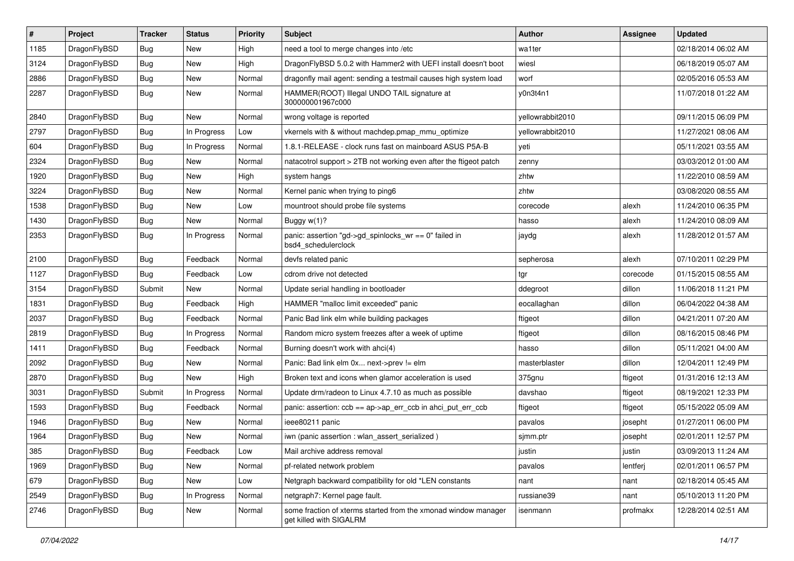| $\vert$ # | Project      | <b>Tracker</b> | <b>Status</b> | <b>Priority</b> | <b>Subject</b>                                                                            | Author           | <b>Assignee</b> | <b>Updated</b>      |
|-----------|--------------|----------------|---------------|-----------------|-------------------------------------------------------------------------------------------|------------------|-----------------|---------------------|
| 1185      | DragonFlyBSD | Bug            | <b>New</b>    | High            | need a tool to merge changes into /etc                                                    | wa1ter           |                 | 02/18/2014 06:02 AM |
| 3124      | DragonFlyBSD | <b>Bug</b>     | <b>New</b>    | High            | DragonFlyBSD 5.0.2 with Hammer2 with UEFI install doesn't boot                            | wiesl            |                 | 06/18/2019 05:07 AM |
| 2886      | DragonFlyBSD | <b>Bug</b>     | <b>New</b>    | Normal          | dragonfly mail agent: sending a testmail causes high system load                          | worf             |                 | 02/05/2016 05:53 AM |
| 2287      | DragonFlyBSD | <b>Bug</b>     | New           | Normal          | HAMMER(ROOT) Illegal UNDO TAIL signature at<br>300000001967c000                           | y0n3t4n1         |                 | 11/07/2018 01:22 AM |
| 2840      | DragonFlyBSD | <b>Bug</b>     | New           | Normal          | wrong voltage is reported                                                                 | yellowrabbit2010 |                 | 09/11/2015 06:09 PM |
| 2797      | DragonFlyBSD | Bug            | In Progress   | Low             | vkernels with & without machdep.pmap_mmu_optimize                                         | yellowrabbit2010 |                 | 11/27/2021 08:06 AM |
| 604       | DragonFlyBSD | <b>Bug</b>     | In Progress   | Normal          | 1.8.1-RELEASE - clock runs fast on mainboard ASUS P5A-B                                   | yeti             |                 | 05/11/2021 03:55 AM |
| 2324      | DragonFlyBSD | Bug            | <b>New</b>    | Normal          | natacotrol support > 2TB not working even after the ftigeot patch                         | zenny            |                 | 03/03/2012 01:00 AM |
| 1920      | DragonFlyBSD | Bug            | <b>New</b>    | High            | system hangs                                                                              | zhtw             |                 | 11/22/2010 08:59 AM |
| 3224      | DragonFlyBSD | Bug            | <b>New</b>    | Normal          | Kernel panic when trying to ping6                                                         | zhtw             |                 | 03/08/2020 08:55 AM |
| 1538      | DragonFlyBSD | Bug            | <b>New</b>    | Low             | mountroot should probe file systems                                                       | corecode         | alexh           | 11/24/2010 06:35 PM |
| 1430      | DragonFlyBSD | <b>Bug</b>     | New           | Normal          | Buggy $w(1)$ ?                                                                            | hasso            | alexh           | 11/24/2010 08:09 AM |
| 2353      | DragonFlyBSD | Bug            | In Progress   | Normal          | panic: assertion "gd->gd spinlocks $wr == 0$ " failed in<br>bsd4 schedulerclock           | jaydg            | alexh           | 11/28/2012 01:57 AM |
| 2100      | DragonFlyBSD | <b>Bug</b>     | Feedback      | Normal          | devfs related panic                                                                       | sepherosa        | alexh           | 07/10/2011 02:29 PM |
| 1127      | DragonFlyBSD | Bug            | Feedback      | Low             | cdrom drive not detected                                                                  | tgr              | corecode        | 01/15/2015 08:55 AM |
| 3154      | DragonFlyBSD | Submit         | <b>New</b>    | Normal          | Update serial handling in bootloader                                                      | ddegroot         | dillon          | 11/06/2018 11:21 PM |
| 1831      | DragonFlyBSD | Bug            | Feedback      | High            | HAMMER "malloc limit exceeded" panic                                                      | eocallaghan      | dillon          | 06/04/2022 04:38 AM |
| 2037      | DragonFlyBSD | Bug            | Feedback      | Normal          | Panic Bad link elm while building packages                                                | ftigeot          | dillon          | 04/21/2011 07:20 AM |
| 2819      | DragonFlyBSD | Bug            | In Progress   | Normal          | Random micro system freezes after a week of uptime                                        | ftigeot          | dillon          | 08/16/2015 08:46 PM |
| 1411      | DragonFlyBSD | <b>Bug</b>     | Feedback      | Normal          | Burning doesn't work with ahci(4)                                                         | hasso            | dillon          | 05/11/2021 04:00 AM |
| 2092      | DragonFlyBSD | <b>Bug</b>     | <b>New</b>    | Normal          | Panic: Bad link elm 0x next->prev != elm                                                  | masterblaster    | dillon          | 12/04/2011 12:49 PM |
| 2870      | DragonFlyBSD | Bug            | New           | High            | Broken text and icons when glamor acceleration is used                                    | 375gnu           | ftigeot         | 01/31/2016 12:13 AM |
| 3031      | DragonFlyBSD | Submit         | In Progress   | Normal          | Update drm/radeon to Linux 4.7.10 as much as possible                                     | davshao          | ftigeot         | 08/19/2021 12:33 PM |
| 1593      | DragonFlyBSD | Bug            | Feedback      | Normal          | panic: assertion: $\cosh ==$ ap->ap err $\cosh$ in ahci put err $\cosh$                   | ftigeot          | ftigeot         | 05/15/2022 05:09 AM |
| 1946      | DragonFlyBSD | Bug            | <b>New</b>    | Normal          | ieee80211 panic                                                                           | pavalos          | josepht         | 01/27/2011 06:00 PM |
| 1964      | DragonFlyBSD | Bug            | <b>New</b>    | Normal          | iwn (panic assertion : wlan_assert_serialized)                                            | sjmm.ptr         | josepht         | 02/01/2011 12:57 PM |
| 385       | DragonFlyBSD | Bug            | Feedback      | Low             | Mail archive address removal                                                              | justin           | justin          | 03/09/2013 11:24 AM |
| 1969      | DragonFlyBSD | <b>Bug</b>     | New           | Normal          | pf-related network problem                                                                | pavalos          | lentferj        | 02/01/2011 06:57 PM |
| 679       | DragonFlyBSD | <b>Bug</b>     | New           | Low             | Netgraph backward compatibility for old *LEN constants                                    | nant             | nant            | 02/18/2014 05:45 AM |
| 2549      | DragonFlyBSD | <b>Bug</b>     | In Progress   | Normal          | netgraph7: Kernel page fault.                                                             | russiane39       | nant            | 05/10/2013 11:20 PM |
| 2746      | DragonFlyBSD | <b>Bug</b>     | New           | Normal          | some fraction of xterms started from the xmonad window manager<br>get killed with SIGALRM | isenmann         | profmakx        | 12/28/2014 02:51 AM |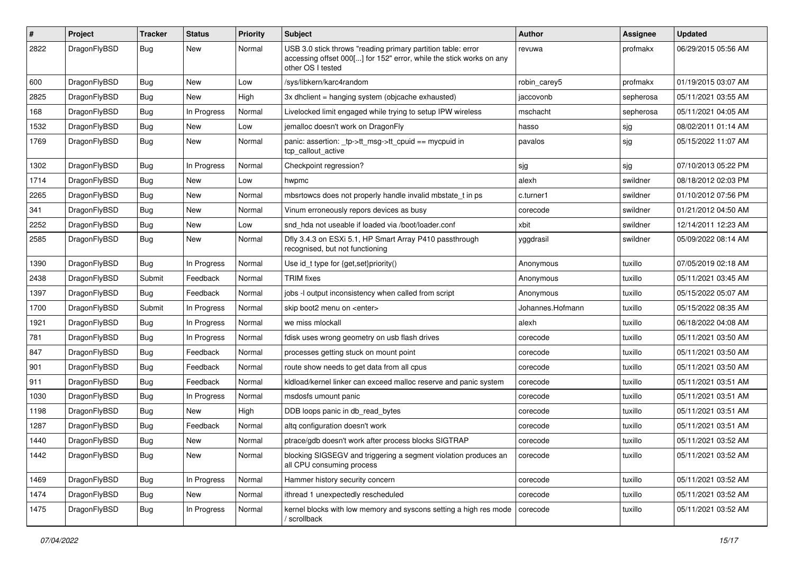| #    | Project      | Tracker    | <b>Status</b> | <b>Priority</b> | <b>Subject</b>                                                                                                                                           | Author           | Assignee  | <b>Updated</b>      |
|------|--------------|------------|---------------|-----------------|----------------------------------------------------------------------------------------------------------------------------------------------------------|------------------|-----------|---------------------|
| 2822 | DragonFlyBSD | Bug        | <b>New</b>    | Normal          | USB 3.0 stick throws "reading primary partition table: error<br>accessing offset 000[] for 152" error, while the stick works on any<br>other OS I tested | revuwa           | profmakx  | 06/29/2015 05:56 AM |
| 600  | DragonFlyBSD | <b>Bug</b> | New           | Low             | /sys/libkern/karc4random                                                                                                                                 | robin carey5     | profmakx  | 01/19/2015 03:07 AM |
| 2825 | DragonFlyBSD | <b>Bug</b> | <b>New</b>    | High            | 3x dhclient = hanging system (objcache exhausted)                                                                                                        | jaccovonb        | sepherosa | 05/11/2021 03:55 AM |
| 168  | DragonFlyBSD | <b>Bug</b> | In Progress   | Normal          | Livelocked limit engaged while trying to setup IPW wireless                                                                                              | mschacht         | sepherosa | 05/11/2021 04:05 AM |
| 1532 | DragonFlyBSD | Bug        | <b>New</b>    | Low             | jemalloc doesn't work on DragonFly                                                                                                                       | hasso            | sjg       | 08/02/2011 01:14 AM |
| 1769 | DragonFlyBSD | <b>Bug</b> | New           | Normal          | panic: assertion: _tp->tt_msg->tt_cpuid == mycpuid in<br>tcp_callout_active                                                                              | pavalos          | sjg       | 05/15/2022 11:07 AM |
| 1302 | DragonFlyBSD | <b>Bug</b> | In Progress   | Normal          | Checkpoint regression?                                                                                                                                   | sjg              | sjg       | 07/10/2013 05:22 PM |
| 1714 | DragonFlyBSD | Bug        | New           | Low             | hwpmc                                                                                                                                                    | alexh            | swildner  | 08/18/2012 02:03 PM |
| 2265 | DragonFlyBSD | Bug        | New           | Normal          | mbsrtowcs does not properly handle invalid mbstate_t in ps                                                                                               | c.turner1        | swildner  | 01/10/2012 07:56 PM |
| 341  | DragonFlyBSD | <b>Bug</b> | New           | Normal          | Vinum erroneously repors devices as busy                                                                                                                 | corecode         | swildner  | 01/21/2012 04:50 AM |
| 2252 | DragonFlyBSD | <b>Bug</b> | New           | Low             | snd hda not useable if loaded via /boot/loader.conf                                                                                                      | xbit             | swildner  | 12/14/2011 12:23 AM |
| 2585 | DragonFlyBSD | Bug        | New           | Normal          | Dfly 3.4.3 on ESXi 5.1, HP Smart Array P410 passthrough<br>recognised, but not functioning                                                               | yggdrasil        | swildner  | 05/09/2022 08:14 AM |
| 1390 | DragonFlyBSD | <b>Bug</b> | In Progress   | Normal          | Use id_t type for {get, set}priority()                                                                                                                   | Anonymous        | tuxillo   | 07/05/2019 02:18 AM |
| 2438 | DragonFlyBSD | Submit     | Feedback      | Normal          | <b>TRIM</b> fixes                                                                                                                                        | Anonymous        | tuxillo   | 05/11/2021 03:45 AM |
| 1397 | DragonFlyBSD | <b>Bug</b> | Feedback      | Normal          | jobs -I output inconsistency when called from script                                                                                                     | Anonymous        | tuxillo   | 05/15/2022 05:07 AM |
| 1700 | DragonFlyBSD | Submit     | In Progress   | Normal          | skip boot2 menu on <enter></enter>                                                                                                                       | Johannes.Hofmann | tuxillo   | 05/15/2022 08:35 AM |
| 1921 | DragonFlyBSD | <b>Bug</b> | In Progress   | Normal          | we miss mlockall                                                                                                                                         | alexh            | tuxillo   | 06/18/2022 04:08 AM |
| 781  | DragonFlyBSD | <b>Bug</b> | In Progress   | Normal          | fdisk uses wrong geometry on usb flash drives                                                                                                            | corecode         | tuxillo   | 05/11/2021 03:50 AM |
| 847  | DragonFlyBSD | <b>Bug</b> | Feedback      | Normal          | processes getting stuck on mount point                                                                                                                   | corecode         | tuxillo   | 05/11/2021 03:50 AM |
| 901  | DragonFlyBSD | <b>Bug</b> | Feedback      | Normal          | route show needs to get data from all cpus                                                                                                               | corecode         | tuxillo   | 05/11/2021 03:50 AM |
| 911  | DragonFlyBSD | Bug        | Feedback      | Normal          | kldload/kernel linker can exceed malloc reserve and panic system                                                                                         | corecode         | tuxillo   | 05/11/2021 03:51 AM |
| 1030 | DragonFlyBSD | <b>Bug</b> | In Progress   | Normal          | msdosfs umount panic                                                                                                                                     | corecode         | tuxillo   | 05/11/2021 03:51 AM |
| 1198 | DragonFlyBSD | <b>Bug</b> | New           | High            | DDB loops panic in db read bytes                                                                                                                         | corecode         | tuxillo   | 05/11/2021 03:51 AM |
| 1287 | DragonFlyBSD | <b>Bug</b> | Feedback      | Normal          | altg configuration doesn't work                                                                                                                          | corecode         | tuxillo   | 05/11/2021 03:51 AM |
| 1440 | DragonFlyBSD | <b>Bug</b> | New           | Normal          | ptrace/gdb doesn't work after process blocks SIGTRAP                                                                                                     | corecode         | tuxillo   | 05/11/2021 03:52 AM |
| 1442 | DragonFlyBSD | <b>Bug</b> | New           | Normal          | blocking SIGSEGV and triggering a segment violation produces an<br>all CPU consuming process                                                             | corecode         | tuxillo   | 05/11/2021 03:52 AM |
| 1469 | DragonFlyBSD | Bug        | In Progress   | Normal          | Hammer history security concern                                                                                                                          | corecode         | tuxillo   | 05/11/2021 03:52 AM |
| 1474 | DragonFlyBSD | Bug        | New           | Normal          | ithread 1 unexpectedly rescheduled                                                                                                                       | corecode         | tuxillo   | 05/11/2021 03:52 AM |
| 1475 | DragonFlyBSD | <b>Bug</b> | In Progress   | Normal          | kernel blocks with low memory and syscons setting a high res mode<br>/ scrollback                                                                        | corecode         | tuxillo   | 05/11/2021 03:52 AM |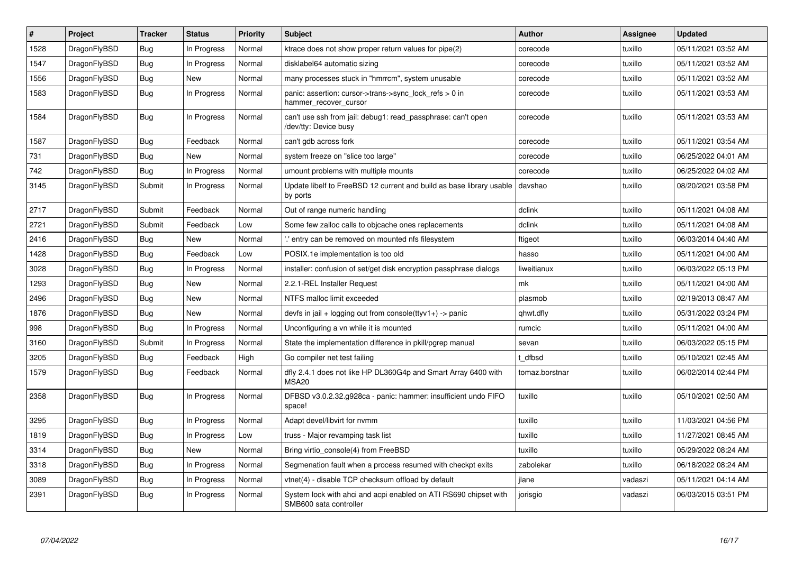| $\vert$ # | Project      | <b>Tracker</b> | <b>Status</b> | Priority | <b>Subject</b>                                                                             | Author         | Assignee | <b>Updated</b>      |
|-----------|--------------|----------------|---------------|----------|--------------------------------------------------------------------------------------------|----------------|----------|---------------------|
| 1528      | DragonFlyBSD | <b>Bug</b>     | In Progress   | Normal   | ktrace does not show proper return values for pipe(2)                                      | corecode       | tuxillo  | 05/11/2021 03:52 AM |
| 1547      | DragonFlyBSD | Bug            | In Progress   | Normal   | disklabel64 automatic sizing                                                               | corecode       | tuxillo  | 05/11/2021 03:52 AM |
| 1556      | DragonFlyBSD | <b>Bug</b>     | <b>New</b>    | Normal   | many processes stuck in "hmrrcm", system unusable                                          | corecode       | tuxillo  | 05/11/2021 03:52 AM |
| 1583      | DragonFlyBSD | Bug            | In Progress   | Normal   | panic: assertion: cursor->trans->sync_lock_refs > 0 in<br>hammer_recover_cursor            | corecode       | tuxillo  | 05/11/2021 03:53 AM |
| 1584      | DragonFlyBSD | <b>Bug</b>     | In Progress   | Normal   | can't use ssh from jail: debug1: read passphrase: can't open<br>/dev/tty: Device busy      | corecode       | tuxillo  | 05/11/2021 03:53 AM |
| 1587      | DragonFlyBSD | Bug            | Feedback      | Normal   | can't gdb across fork                                                                      | corecode       | tuxillo  | 05/11/2021 03:54 AM |
| 731       | DragonFlyBSD | Bug            | <b>New</b>    | Normal   | system freeze on "slice too large"                                                         | corecode       | tuxillo  | 06/25/2022 04:01 AM |
| 742       | DragonFlyBSD | Bug            | In Progress   | Normal   | umount problems with multiple mounts                                                       | corecode       | tuxillo  | 06/25/2022 04:02 AM |
| 3145      | DragonFlyBSD | Submit         | In Progress   | Normal   | Update libelf to FreeBSD 12 current and build as base library usable<br>by ports           | davshao        | tuxillo  | 08/20/2021 03:58 PM |
| 2717      | DragonFlyBSD | Submit         | Feedback      | Normal   | Out of range numeric handling                                                              | dclink         | tuxillo  | 05/11/2021 04:08 AM |
| 2721      | DragonFlyBSD | Submit         | Feedback      | Low      | Some few zalloc calls to objcache ones replacements                                        | dclink         | tuxillo  | 05/11/2021 04:08 AM |
| 2416      | DragonFlyBSD | Bug            | <b>New</b>    | Normal   | ".' entry can be removed on mounted nfs filesystem                                         | ftigeot        | tuxillo  | 06/03/2014 04:40 AM |
| 1428      | DragonFlyBSD | <b>Bug</b>     | Feedback      | Low      | POSIX.1e implementation is too old                                                         | hasso          | tuxillo  | 05/11/2021 04:00 AM |
| 3028      | DragonFlyBSD | <b>Bug</b>     | In Progress   | Normal   | installer: confusion of set/get disk encryption passphrase dialogs                         | liweitianux    | tuxillo  | 06/03/2022 05:13 PM |
| 1293      | DragonFlyBSD | <b>Bug</b>     | <b>New</b>    | Normal   | 2.2.1-REL Installer Request                                                                | mk             | tuxillo  | 05/11/2021 04:00 AM |
| 2496      | DragonFlyBSD | Bug            | <b>New</b>    | Normal   | NTFS malloc limit exceeded                                                                 | plasmob        | tuxillo  | 02/19/2013 08:47 AM |
| 1876      | DragonFlyBSD | Bug            | New           | Normal   | devfs in jail + logging out from console(ttyv1+) -> panic                                  | qhwt.dfly      | tuxillo  | 05/31/2022 03:24 PM |
| 998       | DragonFlyBSD | Bug            | In Progress   | Normal   | Unconfiguring a vn while it is mounted                                                     | rumcic         | tuxillo  | 05/11/2021 04:00 AM |
| 3160      | DragonFlyBSD | Submit         | In Progress   | Normal   | State the implementation difference in pkill/pgrep manual                                  | sevan          | tuxillo  | 06/03/2022 05:15 PM |
| 3205      | DragonFlyBSD | Bug            | Feedback      | High     | Go compiler net test failing                                                               | t dfbsd        | tuxillo  | 05/10/2021 02:45 AM |
| 1579      | DragonFlyBSD | <b>Bug</b>     | Feedback      | Normal   | dfly 2.4.1 does not like HP DL360G4p and Smart Array 6400 with<br>MSA <sub>20</sub>        | tomaz.borstnar | tuxillo  | 06/02/2014 02:44 PM |
| 2358      | DragonFlyBSD | <b>Bug</b>     | In Progress   | Normal   | DFBSD v3.0.2.32.g928ca - panic: hammer: insufficient undo FIFO<br>space!                   | tuxillo        | tuxillo  | 05/10/2021 02:50 AM |
| 3295      | DragonFlyBSD | <b>Bug</b>     | In Progress   | Normal   | Adapt devel/libvirt for nvmm                                                               | tuxillo        | tuxillo  | 11/03/2021 04:56 PM |
| 1819      | DragonFlyBSD | Bug            | In Progress   | Low      | truss - Major revamping task list                                                          | tuxillo        | tuxillo  | 11/27/2021 08:45 AM |
| 3314      | DragonFlyBSD | Bug            | New           | Normal   | Bring virtio console(4) from FreeBSD                                                       | tuxillo        | tuxillo  | 05/29/2022 08:24 AM |
| 3318      | DragonFlyBSD | Bug            | In Progress   | Normal   | Segmenation fault when a process resumed with checkpt exits                                | zabolekar      | tuxillo  | 06/18/2022 08:24 AM |
| 3089      | DragonFlyBSD | <b>Bug</b>     | In Progress   | Normal   | vtnet(4) - disable TCP checksum offload by default                                         | ilane          | vadaszi  | 05/11/2021 04:14 AM |
| 2391      | DragonFlyBSD | Bug            | In Progress   | Normal   | System lock with ahci and acpi enabled on ATI RS690 chipset with<br>SMB600 sata controller | jorisgio       | vadaszi  | 06/03/2015 03:51 PM |